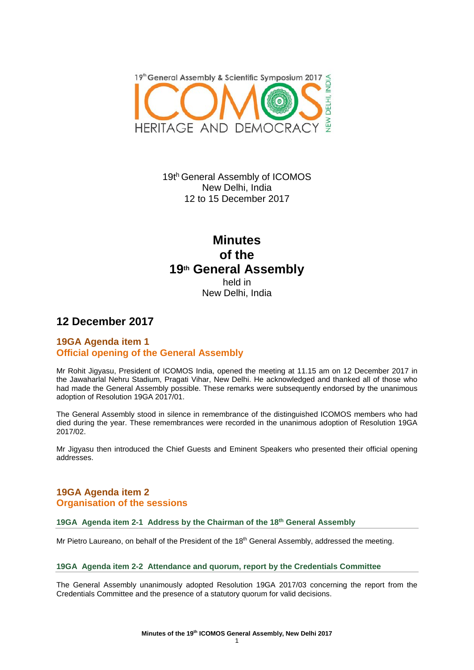

19th General Assembly of ICOMOS New Delhi, India 12 to 15 December 2017

# **Minutes of the 19th General Assembly** held in New Delhi, India

# **12 December 2017**

## **19GA Agenda item 1 Official opening of the General Assembly**

Mr Rohit Jigyasu, President of ICOMOS India, opened the meeting at 11.15 am on 12 December 2017 in the Jawaharlal Nehru Stadium, Pragati Vihar, New Delhi. He acknowledged and thanked all of those who had made the General Assembly possible. These remarks were subsequently endorsed by the unanimous adoption of Resolution 19GA 2017/01.

The General Assembly stood in silence in remembrance of the distinguished ICOMOS members who had died during the year. These remembrances were recorded in the unanimous adoption of Resolution 19GA 2017/02.

Mr Jigyasu then introduced the Chief Guests and Eminent Speakers who presented their official opening addresses.

## **19GA Agenda item 2 Organisation of the sessions**

## **19GA Agenda item 2-1 Address by the Chairman of the 18th General Assembly**

Mr Pietro Laureano, on behalf of the President of the 18<sup>th</sup> General Assembly, addressed the meeting.

## **19GA Agenda item 2-2 Attendance and quorum, report by the Credentials Committee**

The General Assembly unanimously adopted Resolution 19GA 2017/03 concerning the report from the Credentials Committee and the presence of a statutory quorum for valid decisions.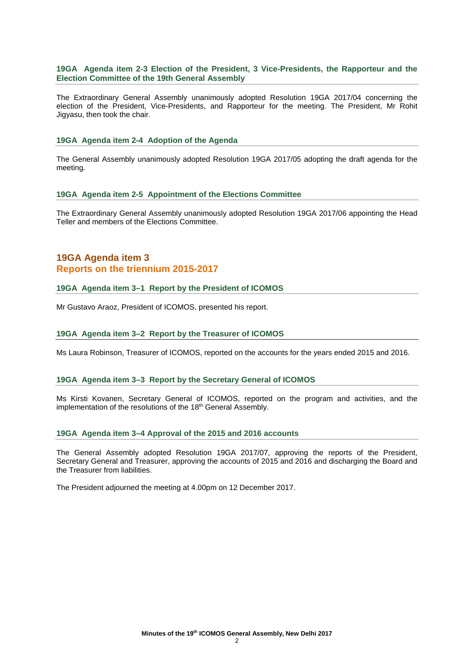## **19GA Agenda item 2-3 Election of the President, 3 Vice-Presidents, the Rapporteur and the Election Committee of the 19th General Assembly**

The Extraordinary General Assembly unanimously adopted Resolution 19GA 2017/04 concerning the election of the President, Vice-Presidents, and Rapporteur for the meeting. The President, Mr Rohit Jigyasu, then took the chair.

## **19GA Agenda item 2-4 Adoption of the Agenda**

The General Assembly unanimously adopted Resolution 19GA 2017/05 adopting the draft agenda for the meeting.

## **19GA Agenda item 2-5 Appointment of the Elections Committee**

The Extraordinary General Assembly unanimously adopted Resolution 19GA 2017/06 appointing the Head Teller and members of the Elections Committee.

## **19GA Agenda item 3 Reports on the triennium 2015-2017**

## **19GA Agenda item 3–1 Report by the President of ICOMOS**

Mr Gustavo Araoz, President of ICOMOS, presented his report.

## **19GA Agenda item 3–2 Report by the Treasurer of ICOMOS**

Ms Laura Robinson, Treasurer of ICOMOS, reported on the accounts for the years ended 2015 and 2016.

## **19GA Agenda item 3–3 Report by the Secretary General of ICOMOS**

Ms Kirsti Kovanen, Secretary General of ICOMOS, reported on the program and activities, and the implementation of the resolutions of the 18<sup>th</sup> General Assembly.

## **19GA Agenda item 3–4 Approval of the 2015 and 2016 accounts**

The General Assembly adopted Resolution 19GA 2017/07, approving the reports of the President, Secretary General and Treasurer, approving the accounts of 2015 and 2016 and discharging the Board and the Treasurer from liabilities.

The President adjourned the meeting at 4.00pm on 12 December 2017.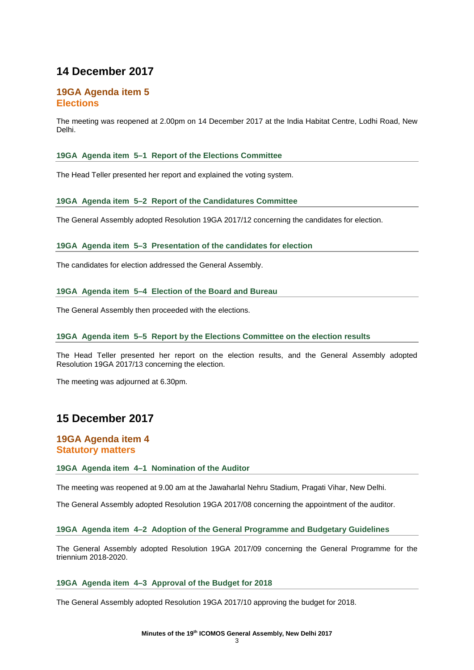# **14 December 2017**

## **19GA Agenda item 5 Elections**

The meeting was reopened at 2.00pm on 14 December 2017 at the India Habitat Centre, Lodhi Road, New Delhi.

## **19GA Agenda item 5–1 Report of the Elections Committee**

The Head Teller presented her report and explained the voting system.

## **19GA Agenda item 5–2 Report of the Candidatures Committee**

The General Assembly adopted Resolution 19GA 2017/12 concerning the candidates for election.

## **19GA Agenda item 5–3 Presentation of the candidates for election**

The candidates for election addressed the General Assembly.

## **19GA Agenda item 5–4 Election of the Board and Bureau**

The General Assembly then proceeded with the elections.

## **19GA Agenda item 5–5 Report by the Elections Committee on the election results**

The Head Teller presented her report on the election results, and the General Assembly adopted Resolution 19GA 2017/13 concerning the election.

The meeting was adjourned at 6.30pm.

# **15 December 2017**

## **19GA Agenda item 4 Statutory matters**

## **19GA Agenda item 4–1 Nomination of the Auditor**

The meeting was reopened at 9.00 am at the Jawaharlal Nehru Stadium, Pragati Vihar, New Delhi.

The General Assembly adopted Resolution 19GA 2017/08 concerning the appointment of the auditor.

## **19GA Agenda item 4–2 Adoption of the General Programme and Budgetary Guidelines**

The General Assembly adopted Resolution 19GA 2017/09 concerning the General Programme for the triennium 2018-2020.

## **19GA Agenda item 4–3 Approval of the Budget for 2018**

The General Assembly adopted Resolution 19GA 2017/10 approving the budget for 2018.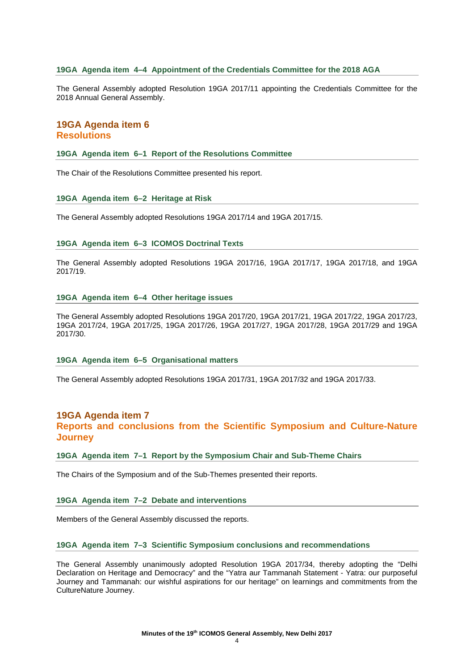## **19GA Agenda item 4–4 Appointment of the Credentials Committee for the 2018 AGA**

The General Assembly adopted Resolution 19GA 2017/11 appointing the Credentials Committee for the 2018 Annual General Assembly.

## **19GA Agenda item 6 Resolutions**

## **19GA Agenda item 6–1 Report of the Resolutions Committee**

The Chair of the Resolutions Committee presented his report.

## **19GA Agenda item 6–2 Heritage at Risk**

The General Assembly adopted Resolutions 19GA 2017/14 and 19GA 2017/15.

## **19GA Agenda item 6–3 ICOMOS Doctrinal Texts**

The General Assembly adopted Resolutions 19GA 2017/16, 19GA 2017/17, 19GA 2017/18, and 19GA 2017/19.

## **19GA Agenda item 6–4 Other heritage issues**

The General Assembly adopted Resolutions 19GA 2017/20, 19GA 2017/21, 19GA 2017/22, 19GA 2017/23, 19GA 2017/24, 19GA 2017/25, 19GA 2017/26, 19GA 2017/27, 19GA 2017/28, 19GA 2017/29 and 19GA 2017/30.

## **19GA Agenda item 6–5 Organisational matters**

The General Assembly adopted Resolutions 19GA 2017/31, 19GA 2017/32 and 19GA 2017/33.

## **19GA Agenda item 7 Reports and conclusions from the Scientific Symposium and Culture-Nature Journey**

#### **19GA Agenda item 7–1 Report by the Symposium Chair and Sub-Theme Chairs**

The Chairs of the Symposium and of the Sub-Themes presented their reports.

## **19GA Agenda item 7–2 Debate and interventions**

Members of the General Assembly discussed the reports.

## **19GA Agenda item 7–3 Scientific Symposium conclusions and recommendations**

The General Assembly unanimously adopted Resolution 19GA 2017/34, thereby adopting the "Delhi Declaration on Heritage and Democracy" and the "Yatra aur Tammanah Statement - Yatra: our purposeful Journey and Tammanah: our wishful aspirations for our heritage" on learnings and commitments from the CultureNature Journey.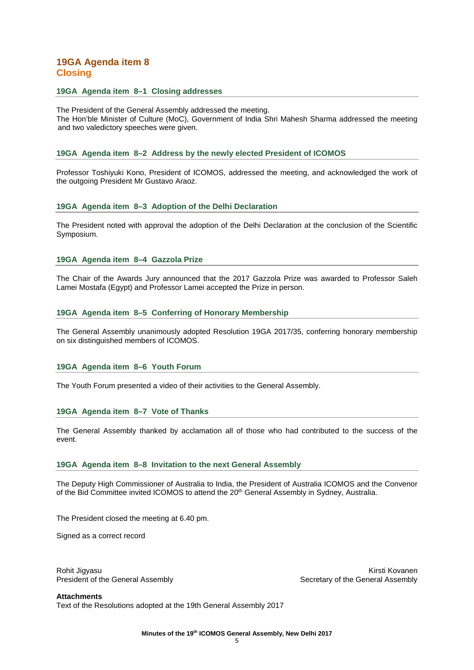## **19GA Agenda item 8 Closing**

## **19GA Agenda item 8–1 Closing addresses**

The President of the General Assembly addressed the meeting.

The Hon'ble Minister of Culture (MoC), Government of India Shri Mahesh Sharma addressed the meeting and two valedictory speeches were given.

## **19GA Agenda item 8–2 Address by the newly elected President of ICOMOS**

Professor Toshiyuki Kono, President of ICOMOS, addressed the meeting, and acknowledged the work of the outgoing President Mr Gustavo Araoz.

## **19GA Agenda item 8–3 Adoption of the Delhi Declaration**

The President noted with approval the adoption of the Delhi Declaration at the conclusion of the Scientific Symposium.

## **19GA Agenda item 8–4 Gazzola Prize**

The Chair of the Awards Jury announced that the 2017 Gazzola Prize was awarded to Professor Saleh Lamei Mostafa (Egypt) and Professor Lamei accepted the Prize in person.

## **19GA Agenda item 8–5 Conferring of Honorary Membership**

The General Assembly unanimously adopted Resolution 19GA 2017/35, conferring honorary membership on six distinguished members of ICOMOS.

## **19GA Agenda item 8–6 Youth Forum**

The Youth Forum presented a video of their activities to the General Assembly.

## **19GA Agenda item 8–7 Vote of Thanks**

The General Assembly thanked by acclamation all of those who had contributed to the success of the event.

## **19GA Agenda item 8–8 Invitation to the next General Assembly**

The Deputy High Commissioner of Australia to India, the President of Australia ICOMOS and the Convenor of the Bid Committee invited ICOMOS to attend the 20<sup>th</sup> General Assembly in Sydney, Australia.

The President closed the meeting at 6.40 pm.

Signed as a correct record

Rohit Jigyasu Kirsti Kovanen kanadi kata sama kanadi kata sa kata sa kasa sa kasa sa kasa sa kasa sa kasa sa k President of the General Assembly Secretary of the General Assembly

**Attachments**

Text of the Resolutions adopted at the 19th General Assembly 2017

**Minutes of the 19th ICOMOS General Assembly, New Delhi 2017**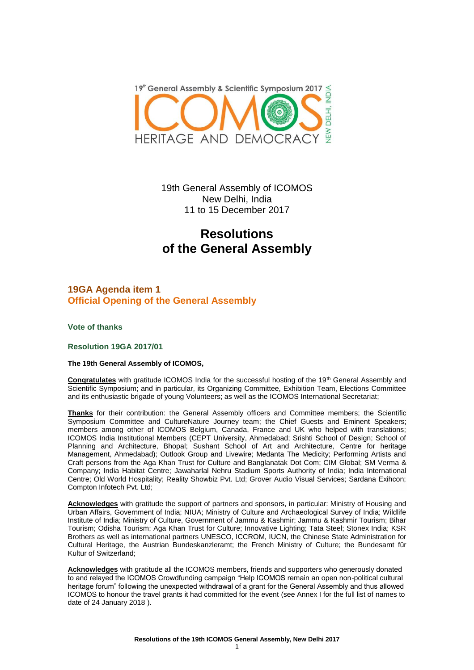

19th General Assembly of ICOMOS New Delhi, India 11 to 15 December 2017

# **Resolutions of the General Assembly**

## **19GA Agenda item 1 Official Opening of the General Assembly**

**Vote of thanks**

**Resolution 19GA 2017/01**

## **The 19th General Assembly of ICOMOS,**

**Congratulates** with gratitude ICOMOS India for the successful hosting of the 19th General Assembly and Scientific Symposium; and in particular, its Organizing Committee, Exhibition Team, Elections Committee and its enthusiastic brigade of young Volunteers; as well as the ICOMOS International Secretariat;

**Thanks** for their contribution: the General Assembly officers and Committee members; the Scientific Symposium Committee and CultureNature Journey team; the Chief Guests and Eminent Speakers; members among other of ICOMOS Belgium, Canada, France and UK who helped with translations; ICOMOS India Institutional Members (CEPT University, Ahmedabad; Srishti School of Design; School of Planning and Architecture, Bhopal; Sushant School of Art and Architecture, Centre for heritage Management, Ahmedabad); Outlook Group and Livewire; Medanta The Medicity; Performing Artists and Craft persons from the Aga Khan Trust for Culture and Banglanatak Dot Com; CIM Global; SM Verma & Company; India Habitat Centre; Jawaharlal Nehru Stadium Sports Authority of India; India International Centre; Old World Hospitality; Reality Showbiz Pvt. Ltd; Grover Audio Visual Services; Sardana Exihcon; Compton Infotech Pvt. Ltd;

**Acknowledges** with gratitude the support of partners and sponsors, in particular: Ministry of Housing and Urban Affairs, Government of India; NIUA; Ministry of Culture and Archaeological Survey of India; Wildlife Institute of India; Ministry of Culture, Government of Jammu & Kashmir; Jammu & Kashmir Tourism; Bihar Tourism; Odisha Tourism; Aga Khan Trust for Culture; Innovative Lighting; Tata Steel; Stonex India; KSR Brothers as well as international partners UNESCO, ICCROM, IUCN, the Chinese State Administration for Cultural Heritage, the Austrian Bundeskanzleramt; the French Ministry of Culture; the Bundesamt für Kultur of Switzerland;

**Acknowledges** with gratitude all the ICOMOS members, friends and supporters who generously donated to and relayed the ICOMOS Crowdfunding campaign "Help ICOMOS remain an open non-political cultural heritage forum" following the unexpected withdrawal of a grant for the General Assembly and thus allowed ICOMOS to honour the travel grants it had committed for the event (see Annex I for the full list of names to date of 24 January 2018 ).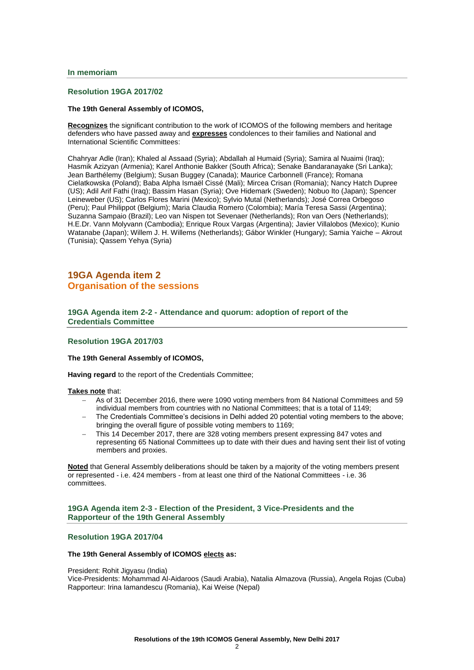#### **In memoriam**

## **Resolution 19GA 2017/02**

#### **The 19th General Assembly of ICOMOS,**

**Recognizes** the significant contribution to the work of ICOMOS of the following members and heritage defenders who have passed away and **expresses** condolences to their families and National and International Scientific Committees:

Chahryar Adle (Iran); Khaled al Assaad (Syria); Abdallah al Humaid (Syria); Samira al Nuaimi (Iraq); Hasmik Azizyan (Armenia); Karel Anthonie Bakker (South Africa); Senake Bandaranayake (Sri Lanka); Jean Barthélemy (Belgium); Susan Buggey (Canada); Maurice Carbonnell (France); Romana Cielatkowska (Poland); Baba Alpha Ismaël Cissé (Mali); Mircea Crisan (Romania); Nancy Hatch Dupree (US); Adil Arif Fathi (Iraq); Bassim Hasan (Syria); Ove Hidemark (Sweden); Nobuo Ito (Japan); Spencer Leineweber (US); Carlos Flores Marini (Mexico); Sylvio Mutal (Netherlands); José Correa Orbegoso (Peru); Paul Philippot (Belgium); Maria Claudia Romero (Colombia); María Teresa Sassi (Argentina); Suzanna Sampaio (Brazil); Leo van Nispen tot Sevenaer (Netherlands); Ron van Oers (Netherlands); H.E.Dr. Vann Molyvann (Cambodia); Enrique Roux Vargas (Argentina); Javier Villalobos (Mexico); Kunio Watanabe (Japan); Willem J. H. Willems (Netherlands); Gábor Winkler (Hungary); Samia Yaiche – Akrout (Tunisia); Qassem Yehya (Syria)

## **19GA Agenda item 2 Organisation of the sessions**

## **19GA Agenda item 2-2 - Attendance and quorum: adoption of report of the Credentials Committee**

#### **Resolution 19GA 2017/03**

#### **The 19th General Assembly of ICOMOS,**

**Having regard** to the report of the Credentials Committee;

#### **Takes note** that:

- As of 31 December 2016, there were 1090 voting members from 84 National Committees and 59 individual members from countries with no National Committees; that is a total of 1149;
- The Credentials Committee's decisions in Delhi added 20 potential voting members to the above; bringing the overall figure of possible voting members to 1169;
- This 14 December 2017, there are 328 voting members present expressing 847 votes and representing 65 National Committees up to date with their dues and having sent their list of voting members and proxies.

**Noted** that General Assembly deliberations should be taken by a majority of the voting members present or represented - i.e. 424 members - from at least one third of the National Committees - i.e. 36 committees.

## **19GA Agenda item 2-3 - Election of the President, 3 Vice-Presidents and the Rapporteur of the 19th General Assembly**

## **Resolution 19GA 2017/04**

## **The 19th General Assembly of ICOMOS elects as:**

President: Rohit Jigyasu (India)

Vice-Presidents: Mohammad Al-Aidaroos (Saudi Arabia), Natalia Almazova (Russia), Angela Rojas (Cuba) Rapporteur: Irina Iamandescu (Romania), Kai Weise (Nepal)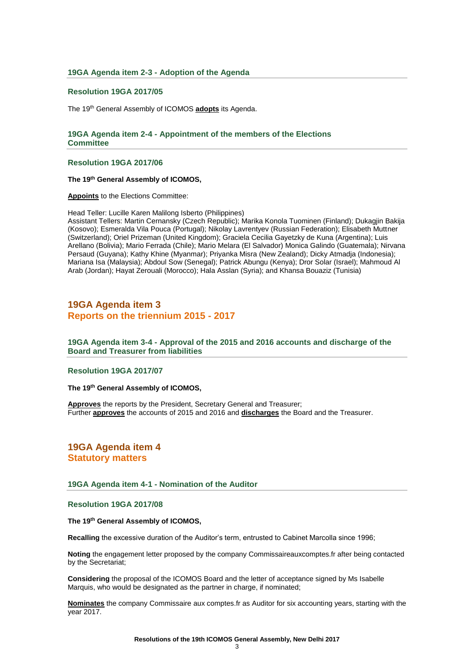## **19GA Agenda item 2-3 - Adoption of the Agenda**

## **Resolution 19GA 2017/05**

The 19th General Assembly of ICOMOS **adopts** its Agenda.

## **19GA Agenda item 2-4 - Appointment of the members of the Elections Committee**

**Resolution 19GA 2017/06**

**The 19th General Assembly of ICOMOS,**

**Appoints** to the Elections Committee:

Head Teller: Lucille Karen Malilong Isberto (Philippines)

Assistant Tellers: Martin Cernansky (Czech Republic); Marika Konola Tuominen (Finland); Dukagjin Bakija (Kosovo); Esmeralda Vila Pouca (Portugal); Nikolay Lavrentyev (Russian Federation); Elisabeth Muttner (Switzerland); Oriel Prizeman (United Kingdom); Graciela Cecilia Gayetzky de Kuna (Argentina); Luis Arellano (Bolivia); Mario Ferrada (Chile); Mario Melara (El Salvador) Monica Galindo (Guatemala); Nirvana Persaud (Guyana); Kathy Khine (Myanmar); Priyanka Misra (New Zealand); Dicky Atmadja (Indonesia); Mariana Isa (Malaysia); Abdoul Sow (Senegal); Patrick Abungu (Kenya); Dror Solar (Israel); Mahmoud Al Arab (Jordan); Hayat Zerouali (Morocco); Hala Asslan (Syria); and Khansa Bouaziz (Tunisia)

## **19GA Agenda item 3 Reports on the triennium 2015 - 2017**

## **19GA Agenda item 3-4 - Approval of the 2015 and 2016 accounts and discharge of the Board and Treasurer from liabilities**

## **Resolution 19GA 2017/07**

**The 19th General Assembly of ICOMOS,**

**Approves** the reports by the President, Secretary General and Treasurer; Further **approves** the accounts of 2015 and 2016 and **discharges** the Board and the Treasurer.

## **19GA Agenda item 4 Statutory matters**

## **19GA Agenda item 4-1 - Nomination of the Auditor**

## **Resolution 19GA 2017/08**

#### **The 19th General Assembly of ICOMOS,**

**Recalling** the excessive duration of the Auditor's term, entrusted to Cabinet Marcolla since 1996;

**Noting** the engagement letter proposed by the company Commissaireauxcomptes.fr after being contacted by the Secretariat;

**Considering** the proposal of the ICOMOS Board and the letter of acceptance signed by Ms Isabelle Marquis, who would be designated as the partner in charge, if nominated;

**Nominates** the company Commissaire aux comptes.fr as Auditor for six accounting years, starting with the year 2017.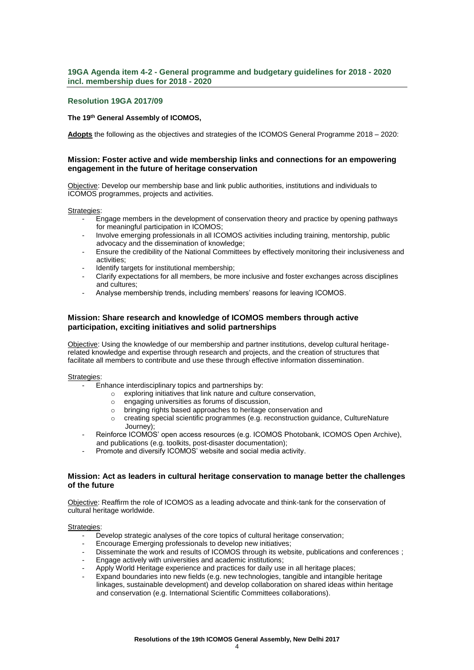## **19GA Agenda item 4-2 - General programme and budgetary guidelines for 2018 - 2020 incl. membership dues for 2018 - 2020**

## **Resolution 19GA 2017/09**

## **The 19th General Assembly of ICOMOS,**

**Adopts** the following as the objectives and strategies of the ICOMOS General Programme 2018 – 2020:

## **Mission: Foster active and wide membership links and connections for an empowering engagement in the future of heritage conservation**

Objective: Develop our membership base and link public authorities, institutions and individuals to ICOMOS programmes, projects and activities.

Strategies:

- Engage members in the development of conservation theory and practice by opening pathways for meaningful participation in ICOMOS;
- Involve emerging professionals in all ICOMOS activities including training, mentorship, public advocacy and the dissemination of knowledge;
- Ensure the credibility of the National Committees by effectively monitoring their inclusiveness and activities;
- Identify targets for institutional membership;
- Clarify expectations for all members, be more inclusive and foster exchanges across disciplines and cultures;
- Analyse membership trends, including members' reasons for leaving ICOMOS.

## **Mission: Share research and knowledge of ICOMOS members through active participation, exciting initiatives and solid partnerships**

Objective: Using the knowledge of our membership and partner institutions, develop cultural heritagerelated knowledge and expertise through research and projects, and the creation of structures that facilitate all members to contribute and use these through effective information dissemination.

#### Strategies:

- Enhance interdisciplinary topics and partnerships by:
	- o exploring initiatives that link nature and culture conservation,
	- o engaging universities as forums of discussion,
	- o bringing rights based approaches to heritage conservation and
	- o creating special scientific programmes (e.g. reconstruction guidance, CultureNature Journey);
- Reinforce ICOMOS' open access resources (e.g. ICOMOS Photobank, ICOMOS Open Archive), and publications (e.g. toolkits, post-disaster documentation);
- Promote and diversify ICOMOS' website and social media activity.

## **Mission: Act as leaders in cultural heritage conservation to manage better the challenges of the future**

Objective: Reaffirm the role of ICOMOS as a leading advocate and think-tank for the conservation of cultural heritage worldwide.

Strategies:

- Develop strategic analyses of the core topics of cultural heritage conservation;
- Encourage Emerging professionals to develop new initiatives;
- Disseminate the work and results of ICOMOS through its website, publications and conferences ;
- Engage actively with universities and academic institutions;
- Apply World Heritage experience and practices for daily use in all heritage places;
- Expand boundaries into new fields (e.g. new technologies, tangible and intangible heritage linkages, sustainable development) and develop collaboration on shared ideas within heritage and conservation (e.g. International Scientific Committees collaborations).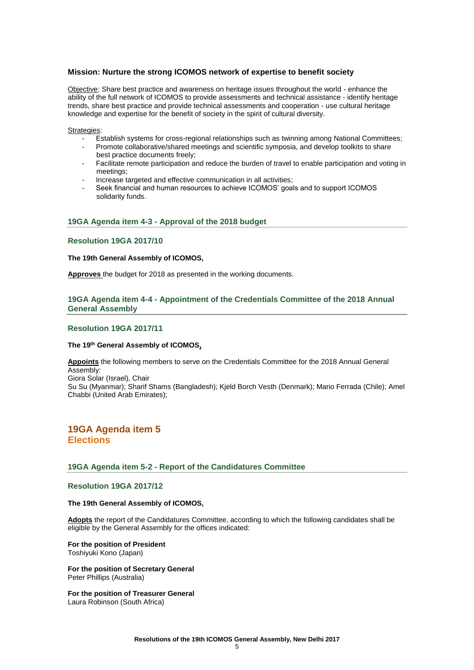## **Mission: Nurture the strong ICOMOS network of expertise to benefit society**

Objective: Share best practice and awareness on heritage issues throughout the world - enhance the ability of the full network of ICOMOS to provide assessments and technical assistance - identify heritage trends, share best practice and provide technical assessments and cooperation - use cultural heritage knowledge and expertise for the benefit of society in the spirit of cultural diversity.

#### Strategies:

- Establish systems for cross-regional relationships such as twinning among National Committees;
- Promote collaborative/shared meetings and scientific symposia, and develop toolkits to share best practice documents freely;
- Facilitate remote participation and reduce the burden of travel to enable participation and voting in meetings;
- Increase targeted and effective communication in all activities;
- Seek financial and human resources to achieve ICOMOS' goals and to support ICOMOS solidarity funds.

## **19GA Agenda item 4-3 - Approval of the 2018 budget**

## **Resolution 19GA 2017/10**

## **The 19th General Assembly of ICOMOS,**

**Approves** the budget for 2018 as presented in the working documents.

## **19GA Agenda item 4-4 - Appointment of the Credentials Committee of the 2018 Annual General Assembly**

## **Resolution 19GA 2017/11**

## **The 19th General Assembly of ICOMOS,**

**Appoints** the following members to serve on the Credentials Committee for the 2018 Annual General Assembly: Giora Solar (Israel), Chair Su Su (Myanmar); Sharif Shams (Bangladesh); Kjeld Borch Vesth (Denmark); Mario Ferrada (Chile); Amel Chabbi (United Arab Emirates);

## **19GA Agenda item 5 Elections**

## **19GA Agenda item 5-2 - Report of the Candidatures Committee**

## **Resolution 19GA 2017/12**

## **The 19th General Assembly of ICOMOS,**

**Adopts** the report of the Candidatures Committee, according to which the following candidates shall be eligible by the General Assembly for the offices indicated:

#### **For the position of President** Toshiyuki Kono (Japan)

**For the position of Secretary General** Peter Phillips (Australia)

**For the position of Treasurer General** Laura Robinson (South Africa)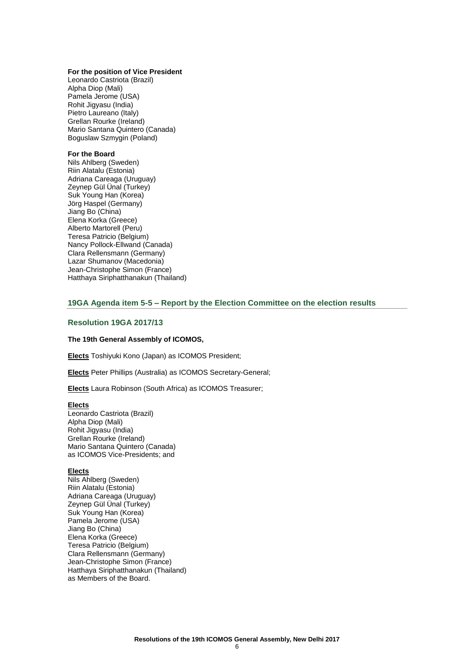#### **For the position of Vice President**

Leonardo Castriota (Brazil) Alpha Diop (Mali) Pamela Jerome (USA) Rohit Jigyasu (India) Pietro Laureano (Italy) Grellan Rourke (Ireland) Mario Santana Quintero (Canada) Boguslaw Szmygin (Poland)

#### **For the Board**

Nils Ahlberg (Sweden) Riin Alatalu (Estonia) Adriana Careaga (Uruguay) Zeynep Gül Ünal (Turkey) Suk Young Han (Korea) Jörg Haspel (Germany) Jiang Bo (China) Elena Korka (Greece) Alberto Martorell (Peru) Teresa Patricio (Belgium) Nancy Pollock-Ellwand (Canada) Clara Rellensmann (Germany) Lazar Shumanov (Macedonia) Jean-Christophe Simon (France) Hatthaya Siriphatthanakun (Thailand)

## **19GA Agenda item 5-5 – Report by the Election Committee on the election results**

## **Resolution 19GA 2017/13**

#### **The 19th General Assembly of ICOMOS,**

**Elects** Toshiyuki Kono (Japan) as ICOMOS President;

**Elects** Peter Phillips (Australia) as ICOMOS Secretary-General;

**Elects** Laura Robinson (South Africa) as ICOMOS Treasurer;

#### **Elects**

Leonardo Castriota (Brazil) Alpha Diop (Mali) Rohit Jigyasu (India) Grellan Rourke (Ireland) Mario Santana Quintero (Canada) as ICOMOS Vice-Presidents; and

#### **Elects**

Nils Ahlberg (Sweden) Riin Alatalu (Estonia) Adriana Careaga (Uruguay) Zeynep Gül Ünal (Turkey) Suk Young Han (Korea) Pamela Jerome (USA) Jiang Bo (China) Elena Korka (Greece) Teresa Patricio (Belgium) Clara Rellensmann (Germany) Jean-Christophe Simon (France) Hatthaya Siriphatthanakun (Thailand) as Members of the Board.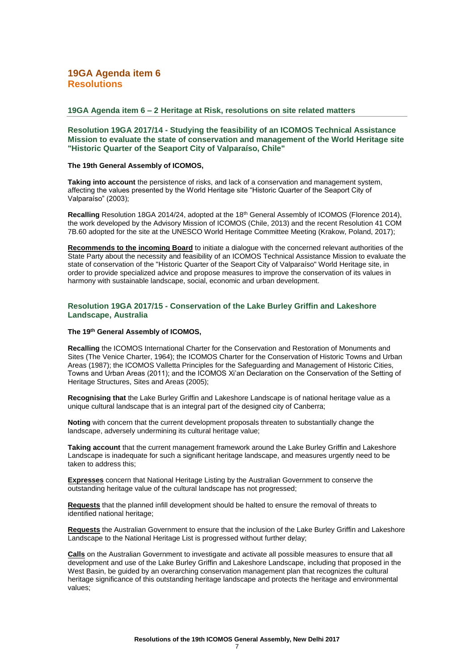## **19GA Agenda item 6 – 2 Heritage at Risk, resolutions on site related matters**

## **Resolution 19GA 2017/14 - Studying the feasibility of an ICOMOS Technical Assistance Mission to evaluate the state of conservation and management of the World Heritage site "Historic Quarter of the Seaport City of Valparaíso, Chile"**

#### **The 19th General Assembly of ICOMOS,**

**Taking into account** the persistence of risks, and lack of a conservation and management system, affecting the values presented by the World Heritage site "Historic Quarter of the Seaport City of Valparaíso" (2003);

**Recalling** Resolution 18GA 2014/24, adopted at the 18th General Assembly of ICOMOS (Florence 2014), the work developed by the Advisory Mission of ICOMOS (Chile, 2013) and the recent Resolution 41 COM 7B.60 adopted for the site at the UNESCO World Heritage Committee Meeting (Krakow, Poland, 2017);

**Recommends to the incoming Board** to initiate a dialogue with the concerned relevant authorities of the State Party about the necessity and feasibility of an ICOMOS Technical Assistance Mission to evaluate the state of conservation of the "Historic Quarter of the Seaport City of Valparaíso" World Heritage site, in order to provide specialized advice and propose measures to improve the conservation of its values in harmony with sustainable landscape, social, economic and urban development.

## **Resolution 19GA 2017/15 - Conservation of the Lake Burley Griffin and Lakeshore Landscape, Australia**

#### **The 19th General Assembly of ICOMOS,**

**Recalling** the ICOMOS International Charter for the Conservation and Restoration of Monuments and Sites (The Venice Charter, 1964); the ICOMOS Charter for the Conservation of Historic Towns and Urban Areas (1987); the ICOMOS Valletta Principles for the Safeguarding and Management of Historic Cities, Towns and Urban Areas (2011); and the ICOMOS Xi'an Declaration on the Conservation of the Setting of Heritage Structures, Sites and Areas (2005);

**Recognising that** the Lake Burley Griffin and Lakeshore Landscape is of national heritage value as a unique cultural landscape that is an integral part of the designed city of Canberra;

**Noting** with concern that the current development proposals threaten to substantially change the landscape, adversely undermining its cultural heritage value;

**Taking account** that the current management framework around the Lake Burley Griffin and Lakeshore Landscape is inadequate for such a significant heritage landscape, and measures urgently need to be taken to address this;

**Expresses** concern that National Heritage Listing by the Australian Government to conserve the outstanding heritage value of the cultural landscape has not progressed;

**Requests** that the planned infill development should be halted to ensure the removal of threats to identified national heritage;

**Requests** the Australian Government to ensure that the inclusion of the Lake Burley Griffin and Lakeshore Landscape to the National Heritage List is progressed without further delay;

**Calls** on the Australian Government to investigate and activate all possible measures to ensure that all development and use of the Lake Burley Griffin and Lakeshore Landscape, including that proposed in the West Basin, be guided by an overarching conservation management plan that recognizes the cultural heritage significance of this outstanding heritage landscape and protects the heritage and environmental values;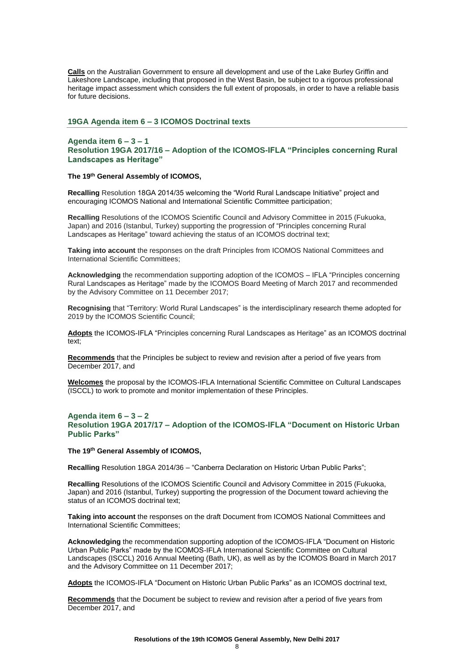**Calls** on the Australian Government to ensure all development and use of the Lake Burley Griffin and Lakeshore Landscape, including that proposed in the West Basin, be subject to a rigorous professional heritage impact assessment which considers the full extent of proposals, in order to have a reliable basis for future decisions.

#### **19GA Agenda item 6 – 3 ICOMOS Doctrinal texts**

## **Agenda item 6 – 3 – 1 Resolution 19GA 2017/16 – Adoption of the ICOMOS-IFLA "Principles concerning Rural Landscapes as Heritage"**

#### **The 19th General Assembly of ICOMOS,**

**Recalling** Resolution 18GA 2014/35 welcoming the "World Rural Landscape Initiative" project and encouraging ICOMOS National and International Scientific Committee participation;

**Recalling** Resolutions of the ICOMOS Scientific Council and Advisory Committee in 2015 (Fukuoka, Japan) and 2016 (Istanbul, Turkey) supporting the progression of "Principles concerning Rural Landscapes as Heritage" toward achieving the status of an ICOMOS doctrinal text;

**Taking into account** the responses on the draft Principles from ICOMOS National Committees and International Scientific Committees;

**Acknowledging** the recommendation supporting adoption of the ICOMOS – IFLA "Principles concerning Rural Landscapes as Heritage" made by the ICOMOS Board Meeting of March 2017 and recommended by the Advisory Committee on 11 December 2017;

**Recognising** that "Territory: World Rural Landscapes" is the interdisciplinary research theme adopted for 2019 by the ICOMOS Scientific Council;

**Adopts** the ICOMOS-IFLA "Principles concerning Rural Landscapes as Heritage" as an ICOMOS doctrinal text;

**Recommends** that the Principles be subject to review and revision after a period of five years from December 2017, and

**Welcomes** the proposal by the ICOMOS-IFLA International Scientific Committee on Cultural Landscapes (ISCCL) to work to promote and monitor implementation of these Principles.

## **Agenda item 6 – 3 – 2 Resolution 19GA 2017/17 – Adoption of the ICOMOS-IFLA "Document on Historic Urban Public Parks"**

#### **The 19th General Assembly of ICOMOS,**

**Recalling** Resolution 18GA 2014/36 – "Canberra Declaration on Historic Urban Public Parks";

**Recalling** Resolutions of the ICOMOS Scientific Council and Advisory Committee in 2015 (Fukuoka, Japan) and 2016 (Istanbul, Turkey) supporting the progression of the Document toward achieving the status of an ICOMOS doctrinal text;

**Taking into account** the responses on the draft Document from ICOMOS National Committees and International Scientific Committees;

**Acknowledging** the recommendation supporting adoption of the ICOMOS-IFLA "Document on Historic Urban Public Parks" made by the ICOMOS-IFLA International Scientific Committee on Cultural Landscapes (ISCCL) 2016 Annual Meeting (Bath, UK), as well as by the ICOMOS Board in March 2017 and the Advisory Committee on 11 December 2017;

**Adopts** the ICOMOS-IFLA "Document on Historic Urban Public Parks" as an ICOMOS doctrinal text,

**Recommends** that the Document be subject to review and revision after a period of five years from December 2017, and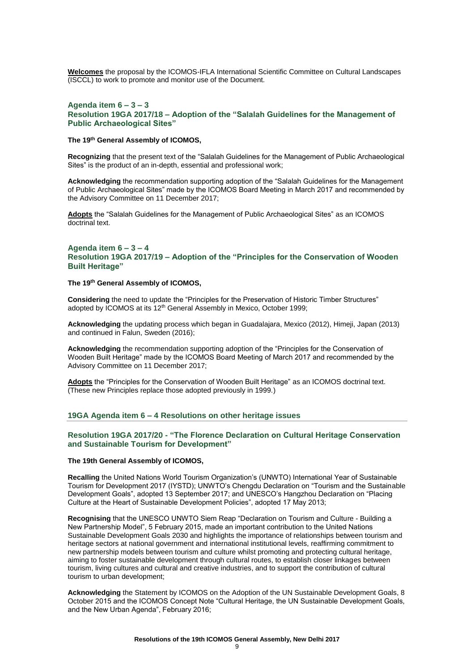**Welcomes** the proposal by the ICOMOS-IFLA International Scientific Committee on Cultural Landscapes (ISCCL) to work to promote and monitor use of the Document.

## **Agenda item 6 – 3 – 3 Resolution 19GA 2017/18 – Adoption of the "Salalah Guidelines for the Management of Public Archaeological Sites"**

#### **The 19th General Assembly of ICOMOS,**

**Recognizing** that the present text of the "Salalah Guidelines for the Management of Public Archaeological Sites" is the product of an in-depth, essential and professional work;

**Acknowledging** the recommendation supporting adoption of the "Salalah Guidelines for the Management of Public Archaeological Sites" made by the ICOMOS Board Meeting in March 2017 and recommended by the Advisory Committee on 11 December 2017;

**Adopts** the "Salalah Guidelines for the Management of Public Archaeological Sites" as an ICOMOS doctrinal text.

## **Agenda item 6 – 3 – 4 Resolution 19GA 2017/19 – Adoption of the "Principles for the Conservation of Wooden Built Heritage"**

#### **The 19th General Assembly of ICOMOS,**

**Considering** the need to update the "Principles for the Preservation of Historic Timber Structures" adopted by ICOMOS at its 12<sup>th</sup> General Assembly in Mexico, October 1999;

**Acknowledging** the updating process which began in Guadalajara, Mexico (2012), Himeji, Japan (2013) and continued in Falun, Sweden (2016);

**Acknowledging** the recommendation supporting adoption of the "Principles for the Conservation of Wooden Built Heritage" made by the ICOMOS Board Meeting of March 2017 and recommended by the Advisory Committee on 11 December 2017;

**Adopts** the "Principles for the Conservation of Wooden Built Heritage" as an ICOMOS doctrinal text. (These new Principles replace those adopted previously in 1999.)

## **19GA Agenda item 6 – 4 Resolutions on other heritage issues**

## **Resolution 19GA 2017/20 - "The Florence Declaration on Cultural Heritage Conservation and Sustainable Tourism for Development"**

#### **The 19th General Assembly of ICOMOS,**

**Recalling** the United Nations World Tourism Organization's (UNWTO) International Year of Sustainable Tourism for Development 2017 (IYSTD); UNWTO's Chengdu Declaration on "Tourism and the Sustainable Development Goals", adopted 13 September 2017; and UNESCO's Hangzhou Declaration on "Placing Culture at the Heart of Sustainable Development Policies", adopted 17 May 2013;

**Recognising** that the UNESCO UNWTO Siem Reap "Declaration on Tourism and Culture - Building a New Partnership Model", 5 February 2015, made an important contribution to the United Nations Sustainable Development Goals 2030 and highlights the importance of relationships between tourism and heritage sectors at national government and international institutional levels, reaffirming commitment to new partnership models between tourism and culture whilst promoting and protecting cultural heritage, aiming to foster sustainable development through cultural routes, to establish closer linkages between tourism, living cultures and cultural and creative industries, and to support the contribution of cultural tourism to urban development;

**Acknowledging** the Statement by ICOMOS on the Adoption of the UN Sustainable Development Goals, 8 October 2015 and the ICOMOS Concept Note "Cultural Heritage, the UN Sustainable Development Goals, and the New Urban Agenda", February 2016;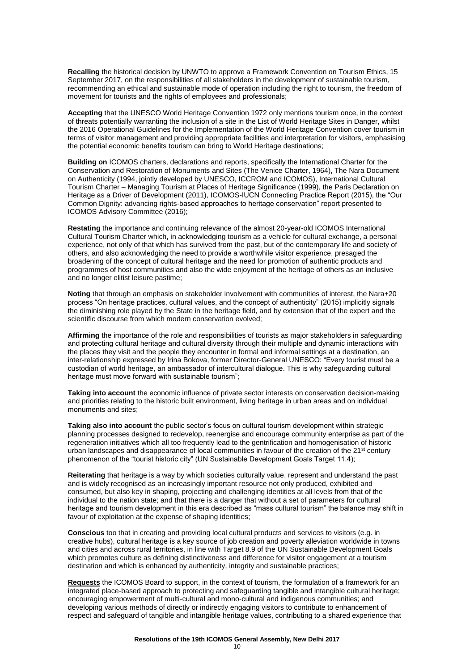**Recalling** the historical decision by UNWTO to approve a Framework Convention on Tourism Ethics, 15 September 2017, on the responsibilities of all stakeholders in the development of sustainable tourism, recommending an ethical and sustainable mode of operation including the right to tourism, the freedom of movement for tourists and the rights of employees and professionals;

**Accepting** that the UNESCO World Heritage Convention 1972 only mentions tourism once, in the context of threats potentially warranting the inclusion of a site in the List of World Heritage Sites in Danger, whilst the 2016 Operational Guidelines for the Implementation of the World Heritage Convention cover tourism in terms of visitor management and providing appropriate facilities and interpretation for visitors, emphasising the potential economic benefits tourism can bring to World Heritage destinations;

**Building on** ICOMOS charters, declarations and reports, specifically the International Charter for the Conservation and Restoration of Monuments and Sites (The Venice Charter, 1964), The Nara Document on Authenticity (1994, jointly developed by UNESCO, ICCROM and ICOMOS), International Cultural Tourism Charter – Managing Tourism at Places of Heritage Significance (1999), the Paris Declaration on Heritage as a Driver of Development (2011), ICOMOS-IUCN Connecting Practice Report (2015), the "Our Common Dignity: advancing rights-based approaches to heritage conservation" report presented to ICOMOS Advisory Committee (2016);

**Restating** the importance and continuing relevance of the almost 20-year-old ICOMOS International Cultural Tourism Charter which, in acknowledging tourism as a vehicle for cultural exchange, a personal experience, not only of that which has survived from the past, but of the contemporary life and society of others, and also acknowledging the need to provide a worthwhile visitor experience, presaged the broadening of the concept of cultural heritage and the need for promotion of authentic products and programmes of host communities and also the wide enjoyment of the heritage of others as an inclusive and no longer elitist leisure pastime;

**Noting** that through an emphasis on stakeholder involvement with communities of interest, the Nara+20 process "On heritage practices, cultural values, and the concept of authenticity" (2015) implicitly signals the diminishing role played by the State in the heritage field, and by extension that of the expert and the scientific discourse from which modern conservation evolved;

**Affirming** the importance of the role and responsibilities of tourists as major stakeholders in safeguarding and protecting cultural heritage and cultural diversity through their multiple and dynamic interactions with the places they visit and the people they encounter in formal and informal settings at a destination, an inter-relationship expressed by Irina Bokova, former Director-General UNESCO: "Every tourist must be a custodian of world heritage, an ambassador of intercultural dialogue. This is why safeguarding cultural heritage must move forward with sustainable tourism";

**Taking into account** the economic influence of private sector interests on conservation decision-making and priorities relating to the historic built environment, living heritage in urban areas and on individual monuments and sites;

**Taking also into account** the public sector's focus on cultural tourism development within strategic planning processes designed to redevelop, reenergise and encourage community enterprise as part of the regeneration initiatives which all too frequently lead to the gentrification and homogenisation of historic urban landscapes and disappearance of local communities in favour of the creation of the 21<sup>st</sup> century phenomenon of the "tourist historic city" (UN Sustainable Development Goals Target 11.4);

**Reiterating** that heritage is a way by which societies culturally value, represent and understand the past and is widely recognised as an increasingly important resource not only produced, exhibited and consumed, but also key in shaping, projecting and challenging identities at all levels from that of the individual to the nation state; and that there is a danger that without a set of parameters for cultural heritage and tourism development in this era described as "mass cultural tourism" the balance may shift in favour of exploitation at the expense of shaping identities;

**Conscious** too that in creating and providing local cultural products and services to visitors (e.g. in creative hubs), cultural heritage is a key source of job creation and poverty alleviation worldwide in towns and cities and across rural territories, in line with Target 8.9 of the UN Sustainable Development Goals which promotes culture as defining distinctiveness and difference for visitor engagement at a tourism destination and which is enhanced by authenticity, integrity and sustainable practices;

**Requests** the ICOMOS Board to support, in the context of tourism, the formulation of a framework for an integrated place-based approach to protecting and safeguarding tangible and intangible cultural heritage; encouraging empowerment of multi-cultural and mono-cultural and indigenous communities; and developing various methods of directly or indirectly engaging visitors to contribute to enhancement of respect and safeguard of tangible and intangible heritage values, contributing to a shared experience that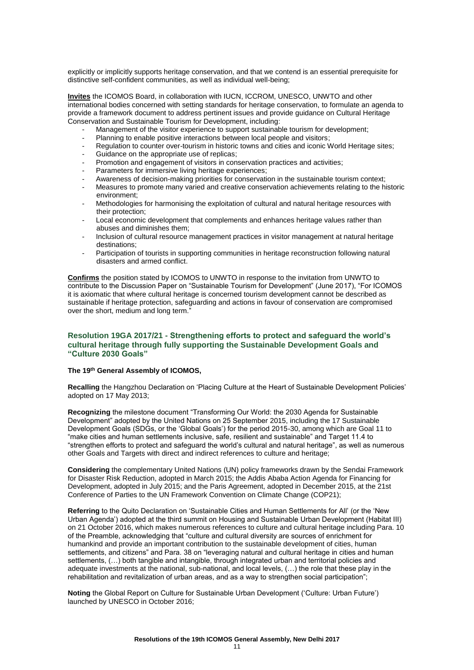explicitly or implicitly supports heritage conservation, and that we contend is an essential prerequisite for distinctive self-confident communities, as well as individual well-being;

**Invites** the ICOMOS Board, in collaboration with IUCN, ICCROM, UNESCO, UNWTO and other international bodies concerned with setting standards for heritage conservation, to formulate an agenda to provide a framework document to address pertinent issues and provide guidance on Cultural Heritage Conservation and Sustainable Tourism for Development, including:

- Management of the visitor experience to support sustainable tourism for development;
- Planning to enable positive interactions between local people and visitors;
- Regulation to counter over-tourism in historic towns and cities and iconic World Heritage sites;
- Guidance on the appropriate use of replicas;
- Promotion and engagement of visitors in conservation practices and activities;
- Parameters for immersive living heritage experiences;
- Awareness of decision-making priorities for conservation in the sustainable tourism context;
- Measures to promote many varied and creative conservation achievements relating to the historic environment;
- Methodologies for harmonising the exploitation of cultural and natural heritage resources with their protection;
- Local economic development that complements and enhances heritage values rather than abuses and diminishes them;
- Inclusion of cultural resource management practices in visitor management at natural heritage destinations;
- Participation of tourists in supporting communities in heritage reconstruction following natural disasters and armed conflict.

**Confirms** the position stated by ICOMOS to UNWTO in response to the invitation from UNWTO to contribute to the Discussion Paper on "Sustainable Tourism for Development" (June 2017), "For ICOMOS it is axiomatic that where cultural heritage is concerned tourism development cannot be described as sustainable if heritage protection, safeguarding and actions in favour of conservation are compromised over the short, medium and long term."

## **Resolution 19GA 2017/21 - Strengthening efforts to protect and safeguard the world's cultural heritage through fully supporting the Sustainable Development Goals and "Culture 2030 Goals"**

## **The 19th General Assembly of ICOMOS,**

**Recalling** the Hangzhou Declaration on 'Placing Culture at the Heart of Sustainable Development Policies' adopted on 17 May 2013;

**Recognizing** the milestone document "Transforming Our World: the 2030 Agenda for Sustainable Development" adopted by the United Nations on 25 September 2015, including the 17 Sustainable Development Goals (SDGs, or the 'Global Goals') for the period 2015-30, among which are Goal 11 to "make cities and human settlements inclusive, safe, resilient and sustainable" and Target 11.4 to "strengthen efforts to protect and safeguard the world's cultural and natural heritage", as well as numerous other Goals and Targets with direct and indirect references to culture and heritage;

**Considering** the complementary United Nations (UN) policy frameworks drawn by the Sendai Framework for Disaster Risk Reduction, adopted in March 2015; the Addis Ababa Action Agenda for Financing for Development, adopted in July 2015; and the Paris Agreement, adopted in December 2015, at the 21st Conference of Parties to the UN Framework Convention on Climate Change (COP21);

**Referring** to the Quito Declaration on 'Sustainable Cities and Human Settlements for All' (or the 'New Urban Agenda') adopted at the third summit on Housing and Sustainable Urban Development (Habitat III) on 21 October 2016, which makes numerous references to culture and cultural heritage including Para. 10 of the Preamble, acknowledging that "culture and cultural diversity are sources of enrichment for humankind and provide an important contribution to the sustainable development of cities, human settlements, and citizens" and Para. 38 on "leveraging natural and cultural heritage in cities and human settlements, (…) both tangible and intangible, through integrated urban and territorial policies and adequate investments at the national, sub-national, and local levels, (…) the role that these play in the rehabilitation and revitalization of urban areas, and as a way to strengthen social participation";

**Noting** the Global Report on Culture for Sustainable Urban Development ('Culture: Urban Future') launched by UNESCO in October 2016;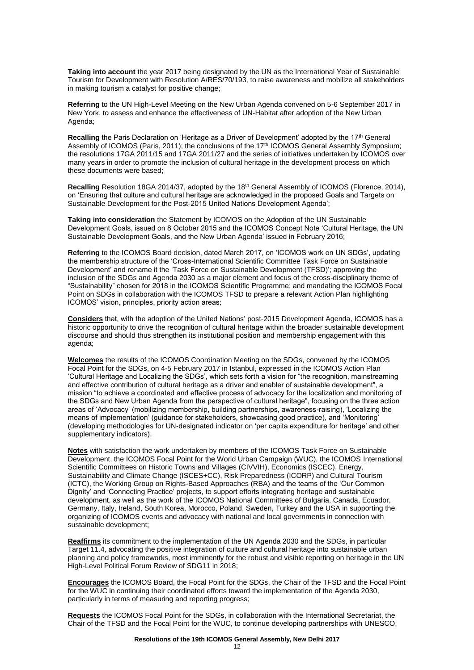**Taking into account** the year 2017 being designated by the UN as the International Year of Sustainable Tourism for Development with Resolution A/RES/70/193, to raise awareness and mobilize all stakeholders in making tourism a catalyst for positive change;

**Referring** to the UN High-Level Meeting on the New Urban Agenda convened on 5-6 September 2017 in New York, to assess and enhance the effectiveness of UN-Habitat after adoption of the New Urban Agenda;

Recalling the Paris Declaration on 'Heritage as a Driver of Development' adopted by the 17<sup>th</sup> General Assembly of ICOMOS (Paris, 2011); the conclusions of the 17th ICOMOS General Assembly Symposium; the resolutions 17GA 2011/15 and 17GA 2011/27 and the series of initiatives undertaken by ICOMOS over many years in order to promote the inclusion of cultural heritage in the development process on which these documents were based;

Recalling Resolution 18GA 2014/37, adopted by the 18<sup>th</sup> General Assembly of ICOMOS (Florence, 2014), on 'Ensuring that culture and cultural heritage are acknowledged in the proposed Goals and Targets on Sustainable Development for the Post-2015 United Nations Development Agenda';

**Taking into consideration** the Statement by ICOMOS on the Adoption of the UN Sustainable Development Goals, issued on 8 October 2015 and the ICOMOS Concept Note 'Cultural Heritage, the UN Sustainable Development Goals, and the New Urban Agenda' issued in February 2016;

**Referring** to the ICOMOS Board decision, dated March 2017, on 'ICOMOS work on UN SDGs', updating the membership structure of the 'Cross-International Scientific Committee Task Force on Sustainable Development' and rename it the 'Task Force on Sustainable Development (TFSD)'; approving the inclusion of the SDGs and Agenda 2030 as a major element and focus of the cross-disciplinary theme of "Sustainability" chosen for 2018 in the ICOMOS Scientific Programme; and mandating the ICOMOS Focal Point on SDGs in collaboration with the ICOMOS TFSD to prepare a relevant Action Plan highlighting ICOMOS' vision, principles, priority action areas;

**Considers** that, with the adoption of the United Nations' post-2015 Development Agenda, ICOMOS has a historic opportunity to drive the recognition of cultural heritage within the broader sustainable development discourse and should thus strengthen its institutional position and membership engagement with this agenda;

**Welcomes** the results of the ICOMOS Coordination Meeting on the SDGs, convened by the ICOMOS Focal Point for the SDGs, on 4-5 February 2017 in Istanbul, expressed in the ICOMOS Action Plan 'Cultural Heritage and Localizing the SDGs', which sets forth a vision for "the recognition, mainstreaming and effective contribution of cultural heritage as a driver and enabler of sustainable development", a mission "to achieve a coordinated and effective process of advocacy for the localization and monitoring of the SDGs and New Urban Agenda from the perspective of cultural heritage", focusing on the three action areas of 'Advocacy' (mobilizing membership, building partnerships, awareness-raising), 'Localizing the means of implementation' (guidance for stakeholders, showcasing good practice), and 'Monitoring' (developing methodologies for UN-designated indicator on 'per capita expenditure for heritage' and other supplementary indicators);

**Notes** with satisfaction the work undertaken by members of the ICOMOS Task Force on Sustainable Development, the ICOMOS Focal Point for the World Urban Campaign (WUC), the ICOMOS International Scientific Committees on Historic Towns and Villages (CIVVIH), Economics (ISCEC), Energy, Sustainability and Climate Change (ISCES+CC), Risk Preparedness (ICORP) and Cultural Tourism (ICTC), the Working Group on Rights-Based Approaches (RBA) and the teams of the 'Our Common Dignity' and 'Connecting Practice' projects, to support efforts integrating heritage and sustainable development, as well as the work of the ICOMOS National Committees of Bulgaria, Canada, Ecuador, Germany, Italy, Ireland, South Korea, Morocco, Poland, Sweden, Turkey and the USA in supporting the organizing of ICOMOS events and advocacy with national and local governments in connection with sustainable development;

**Reaffirms** its commitment to the implementation of the UN Agenda 2030 and the SDGs, in particular Target 11.4, advocating the positive integration of culture and cultural heritage into sustainable urban planning and policy frameworks, most imminently for the robust and visible reporting on heritage in the UN High-Level Political Forum Review of SDG11 in 2018;

**Encourages** the ICOMOS Board, the Focal Point for the SDGs, the Chair of the TFSD and the Focal Point for the WUC in continuing their coordinated efforts toward the implementation of the Agenda 2030, particularly in terms of measuring and reporting progress;

**Requests** the ICOMOS Focal Point for the SDGs, in collaboration with the International Secretariat, the Chair of the TFSD and the Focal Point for the WUC, to continue developing partnerships with UNESCO,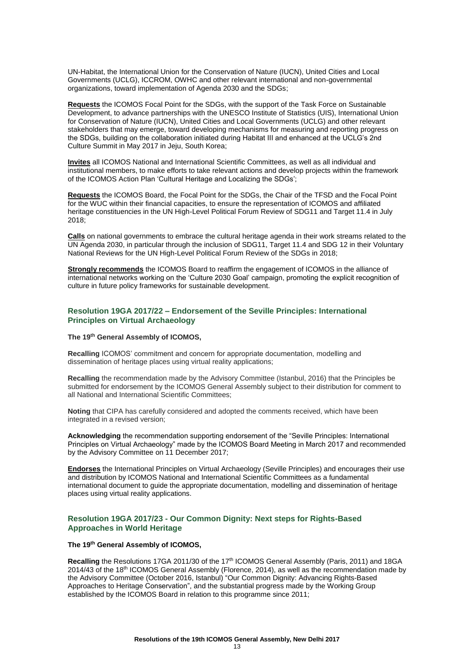UN-Habitat, the International Union for the Conservation of Nature (IUCN), United Cities and Local Governments (UCLG), ICCROM, OWHC and other relevant international and non-governmental organizations, toward implementation of Agenda 2030 and the SDGs;

**Requests** the ICOMOS Focal Point for the SDGs, with the support of the Task Force on Sustainable Development, to advance partnerships with the UNESCO Institute of Statistics (UIS), International Union for Conservation of Nature (IUCN), United Cities and Local Governments (UCLG) and other relevant stakeholders that may emerge, toward developing mechanisms for measuring and reporting progress on the SDGs, building on the collaboration initiated during Habitat III and enhanced at the UCLG's 2nd Culture Summit in May 2017 in Jeju, South Korea;

**Invites** all ICOMOS National and International Scientific Committees, as well as all individual and institutional members, to make efforts to take relevant actions and develop projects within the framework of the ICOMOS Action Plan 'Cultural Heritage and Localizing the SDGs';

**Requests** the ICOMOS Board, the Focal Point for the SDGs, the Chair of the TFSD and the Focal Point for the WUC within their financial capacities, to ensure the representation of ICOMOS and affiliated heritage constituencies in the UN High-Level Political Forum Review of SDG11 and Target 11.4 in July 2018;

**Calls** on national governments to embrace the cultural heritage agenda in their work streams related to the UN Agenda 2030, in particular through the inclusion of SDG11, Target 11.4 and SDG 12 in their Voluntary National Reviews for the UN High-Level Political Forum Review of the SDGs in 2018;

**Strongly recommends** the ICOMOS Board to reaffirm the engagement of ICOMOS in the alliance of international networks working on the 'Culture 2030 Goal' campaign, promoting the explicit recognition of culture in future policy frameworks for sustainable development.

## **Resolution 19GA 2017/22 – Endorsement of the Seville Principles: International Principles on Virtual Archaeology**

#### **The 19th General Assembly of ICOMOS,**

**Recalling** ICOMOS' commitment and concern for appropriate documentation, modelling and dissemination of heritage places using virtual reality applications;

**Recalling** the recommendation made by the Advisory Committee (Istanbul, 2016) that the Principles be submitted for endorsement by the ICOMOS General Assembly subject to their distribution for comment to all National and International Scientific Committees;

**Noting** that CIPA has carefully considered and adopted the comments received, which have been integrated in a revised version;

**Acknowledging** the recommendation supporting endorsement of the "Seville Principles: International Principles on Virtual Archaeology" made by the ICOMOS Board Meeting in March 2017 and recommended by the Advisory Committee on 11 December 2017;

**Endorses** the International Principles on Virtual Archaeology (Seville Principles) and encourages their use and distribution by ICOMOS National and International Scientific Committees as a fundamental international document to guide the appropriate documentation, modelling and dissemination of heritage places using virtual reality applications.

## **Resolution 19GA 2017/23 - Our Common Dignity: Next steps for Rights-Based Approaches in World Heritage**

## **The 19th General Assembly of ICOMOS,**

**Recalling** the Resolutions 17GA 2011/30 of the 17th ICOMOS General Assembly (Paris, 2011) and 18GA 2014/43 of the 18th ICOMOS General Assembly (Florence, 2014), as well as the recommendation made by the Advisory Committee (October 2016, Istanbul) "Our Common Dignity: Advancing Rights-Based Approaches to Heritage Conservation", and the substantial progress made by the Working Group established by the ICOMOS Board in relation to this programme since 2011;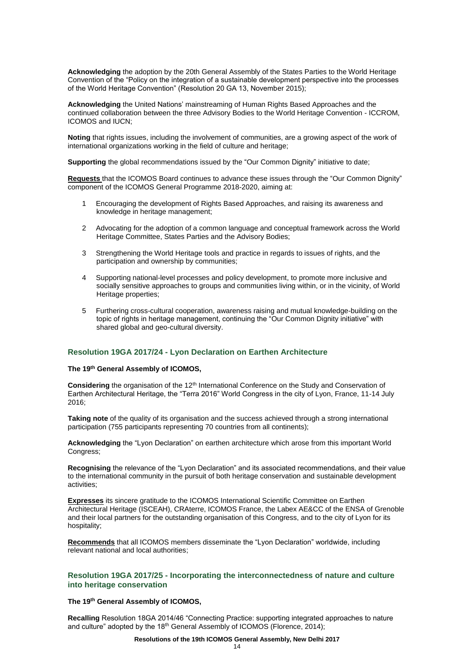**Acknowledging** the adoption by the 20th General Assembly of the States Parties to the World Heritage Convention of the "Policy on the integration of a sustainable development perspective into the processes of the World Heritage Convention" (Resolution 20 GA 13, November 2015);

**Acknowledging** the United Nations' mainstreaming of Human Rights Based Approaches and the continued collaboration between the three Advisory Bodies to the World Heritage Convention - ICCROM, ICOMOS and IUCN;

**Noting** that rights issues, including the involvement of communities, are a growing aspect of the work of international organizations working in the field of culture and heritage;

**Supporting** the global recommendations issued by the "Our Common Dignity" initiative to date;

**Requests** that the ICOMOS Board continues to advance these issues through the "Our Common Dignity" component of the ICOMOS General Programme 2018-2020, aiming at:

- 1 Encouraging the development of Rights Based Approaches, and raising its awareness and knowledge in heritage management;
- 2 Advocating for the adoption of a common language and conceptual framework across the World Heritage Committee, States Parties and the Advisory Bodies;
- 3 Strengthening the World Heritage tools and practice in regards to issues of rights, and the participation and ownership by communities;
- 4 Supporting national-level processes and policy development, to promote more inclusive and socially sensitive approaches to groups and communities living within, or in the vicinity, of World Heritage properties;
- 5 Furthering cross-cultural cooperation, awareness raising and mutual knowledge-building on the topic of rights in heritage management, continuing the "Our Common Dignity initiative" with shared global and geo-cultural diversity.

## **Resolution 19GA 2017/24 - Lyon Declaration on Earthen Architecture**

## **The 19th General Assembly of ICOMOS,**

**Considering** the organisation of the 12<sup>th</sup> International Conference on the Study and Conservation of Earthen Architectural Heritage, the "Terra 2016" World Congress in the city of Lyon, France, 11-14 July 2016;

**Taking note** of the quality of its organisation and the success achieved through a strong international participation (755 participants representing 70 countries from all continents);

**Acknowledging** the "Lyon Declaration" on earthen architecture which arose from this important World Congress;

**Recognising** the relevance of the "Lyon Declaration" and its associated recommendations, and their value to the international community in the pursuit of both heritage conservation and sustainable development activities;

**Expresses** its sincere gratitude to the ICOMOS International Scientific Committee on Earthen Architectural Heritage (ISCEAH), CRAterre, ICOMOS France, the Labex AE&CC of the ENSA of Grenoble and their local partners for the outstanding organisation of this Congress, and to the city of Lyon for its hospitality;

**Recommends** that all ICOMOS members disseminate the "Lyon Declaration" worldwide, including relevant national and local authorities;

## **Resolution 19GA 2017/25 - Incorporating the interconnectedness of nature and culture into heritage conservation**

## **The 19th General Assembly of ICOMOS,**

**Recalling** Resolution 18GA 2014/46 "Connecting Practice: supporting integrated approaches to nature and culture" adopted by the 18<sup>th</sup> General Assembly of ICOMOS (Florence, 2014);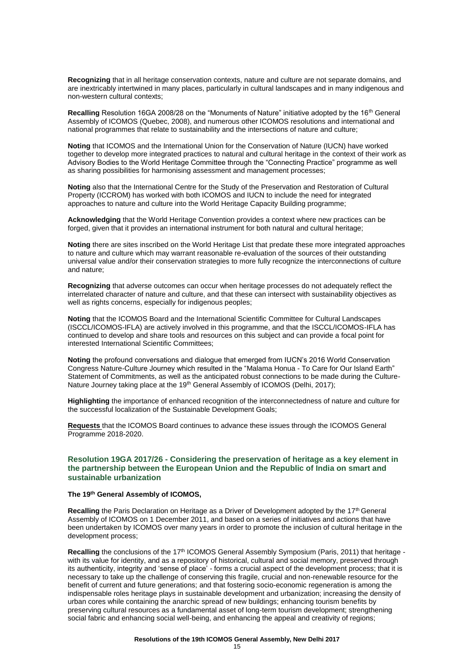**Recognizing** that in all heritage conservation contexts, nature and culture are not separate domains, and are inextricably intertwined in many places, particularly in cultural landscapes and in many indigenous and non-western cultural contexts;

**Recalling** Resolution 16GA 2008/28 on the "Monuments of Nature" initiative adopted by the 16<sup>th</sup> General Assembly of ICOMOS (Quebec, 2008), and numerous other ICOMOS resolutions and international and national programmes that relate to sustainability and the intersections of nature and culture;

**Noting** that ICOMOS and the International Union for the Conservation of Nature (IUCN) have worked together to develop more integrated practices to natural and cultural heritage in the context of their work as Advisory Bodies to the World Heritage Committee through the "Connecting Practice" programme as well as sharing possibilities for harmonising assessment and management processes;

**Noting** also that the International Centre for the Study of the Preservation and Restoration of Cultural Property (ICCROM) has worked with both ICOMOS and IUCN to include the need for integrated approaches to nature and culture into the World Heritage Capacity Building programme;

**Acknowledging** that the World Heritage Convention provides a context where new practices can be forged, given that it provides an international instrument for both natural and cultural heritage;

**Noting** there are sites inscribed on the World Heritage List that predate these more integrated approaches to nature and culture which may warrant reasonable re-evaluation of the sources of their outstanding universal value and/or their conservation strategies to more fully recognize the interconnections of culture and nature;

**Recognizing** that adverse outcomes can occur when heritage processes do not adequately reflect the interrelated character of nature and culture, and that these can intersect with sustainability objectives as well as rights concerns, especially for indigenous peoples;

**Noting** that the ICOMOS Board and the International Scientific Committee for Cultural Landscapes (ISCCL/ICOMOS-IFLA) are actively involved in this programme, and that the ISCCL/ICOMOS-IFLA has continued to develop and share tools and resources on this subject and can provide a focal point for interested International Scientific Committees;

**Noting** the profound conversations and dialogue that emerged from IUCN's 2016 World Conservation Congress Nature-Culture Journey which resulted in the "Malama Honua - To Care for Our Island Earth" Statement of Commitments, as well as the anticipated robust connections to be made during the Culture-Nature Journey taking place at the 19<sup>th</sup> General Assembly of ICOMOS (Delhi, 2017);

**Highlighting** the importance of enhanced recognition of the interconnectedness of nature and culture for the successful localization of the Sustainable Development Goals;

**Requests** that the ICOMOS Board continues to advance these issues through the ICOMOS General Programme 2018-2020.

## **Resolution 19GA 2017/26 - Considering the preservation of heritage as a key element in the partnership between the European Union and the Republic of India on smart and sustainable urbanization**

## **The 19th General Assembly of ICOMOS,**

**Recalling** the Paris Declaration on Heritage as a Driver of Development adopted by the 17<sup>th</sup> General Assembly of ICOMOS on 1 December 2011, and based on a series of initiatives and actions that have been undertaken by ICOMOS over many years in order to promote the inclusion of cultural heritage in the development process;

Recalling the conclusions of the 17<sup>th</sup> ICOMOS General Assembly Symposium (Paris, 2011) that heritage with its value for identity, and as a repository of historical, cultural and social memory, preserved through its authenticity, integrity and 'sense of place' - forms a crucial aspect of the development process; that it is necessary to take up the challenge of conserving this fragile, crucial and non-renewable resource for the benefit of current and future generations; and that fostering socio-economic regeneration is among the indispensable roles heritage plays in sustainable development and urbanization; increasing the density of urban cores while containing the anarchic spread of new buildings; enhancing tourism benefits by preserving cultural resources as a fundamental asset of long-term tourism development; strengthening social fabric and enhancing social well-being, and enhancing the appeal and creativity of regions;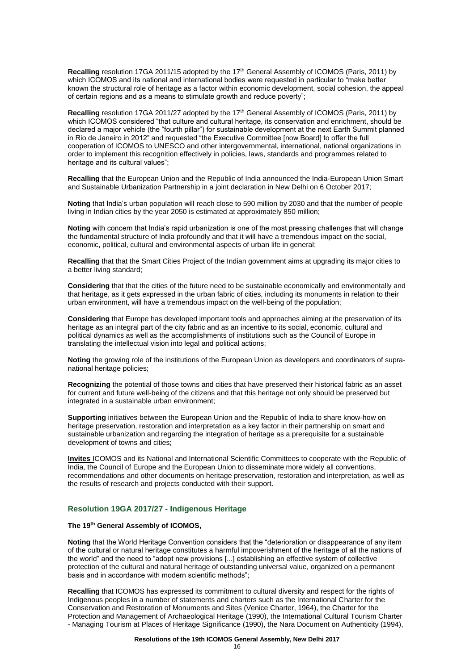**Recalling** resolution 17GA 2011/15 adopted by the 17th General Assembly of ICOMOS (Paris, 2011) by which ICOMOS and its national and international bodies were requested in particular to "make better known the structural role of heritage as a factor within economic development, social cohesion, the appeal of certain regions and as a means to stimulate growth and reduce poverty";

**Recalling** resolution 17GA 2011/27 adopted by the 17th General Assembly of ICOMOS (Paris, 2011) by which ICOMOS considered "that culture and cultural heritage, its conservation and enrichment, should be declared a major vehicle (the "fourth pillar") for sustainable development at the next Earth Summit planned in Rio de Janeiro in 2012" and requested "the Executive Committee [now Board] to offer the full cooperation of ICOMOS to UNESCO and other intergovernmental, international, national organizations in order to implement this recognition effectively in policies, laws, standards and programmes related to heritage and its cultural values";

**Recalling** that the European Union and the Republic of India announced the India-European Union Smart and Sustainable Urbanization Partnership in a joint declaration in New Delhi on 6 October 2017;

**Noting** that India's urban population will reach close to 590 million by 2030 and that the number of people living in Indian cities by the year 2050 is estimated at approximately 850 million;

**Noting** with concern that India's rapid urbanization is one of the most pressing challenges that will change the fundamental structure of India profoundly and that it will have a tremendous impact on the social, economic, political, cultural and environmental aspects of urban life in general;

**Recalling** that that the Smart Cities Project of the Indian government aims at upgrading its major cities to a better living standard;

**Considering** that that the cities of the future need to be sustainable economically and environmentally and that heritage, as it gets expressed in the urban fabric of cities, including its monuments in relation to their urban environment, will have a tremendous impact on the well-being of the population;

**Considering** that Europe has developed important tools and approaches aiming at the preservation of its heritage as an integral part of the city fabric and as an incentive to its social, economic, cultural and political dynamics as well as the accomplishments of institutions such as the Council of Europe in translating the intellectual vision into legal and political actions;

**Noting** the growing role of the institutions of the European Union as developers and coordinators of supranational heritage policies;

**Recognizing** the potential of those towns and cities that have preserved their historical fabric as an asset for current and future well-being of the citizens and that this heritage not only should be preserved but integrated in a sustainable urban environment;

**Supporting** initiatives between the European Union and the Republic of India to share know-how on heritage preservation, restoration and interpretation as a key factor in their partnership on smart and sustainable urbanization and regarding the integration of heritage as a prerequisite for a sustainable development of towns and cities;

**Invites** ICOMOS and its National and International Scientific Committees to cooperate with the Republic of India, the Council of Europe and the European Union to disseminate more widely all conventions, recommendations and other documents on heritage preservation, restoration and interpretation, as well as the results of research and projects conducted with their support.

## **Resolution 19GA 2017/27 - Indigenous Heritage**

## **The 19th General Assembly of ICOMOS,**

**Noting** that the World Heritage Convention considers that the "deterioration or disappearance of any item of the cultural or natural heritage constitutes a harmful impoverishment of the heritage of all the nations of the world" and the need to "adopt new provisions [...] establishing an effective system of collective protection of the cultural and natural heritage of outstanding universal value, organized on a permanent basis and in accordance with modern scientific methods";

**Recalling** that ICOMOS has expressed its commitment to cultural diversity and respect for the rights of Indigenous peoples in a number of statements and charters such as the International Charter for the Conservation and Restoration of Monuments and Sites (Venice Charter, 1964), the Charter for the Protection and Management of Archaeological Heritage (1990), the International Cultural Tourism Charter - Managing Tourism at Places of Heritage Significance (1990), the Nara Document on Authenticity (1994),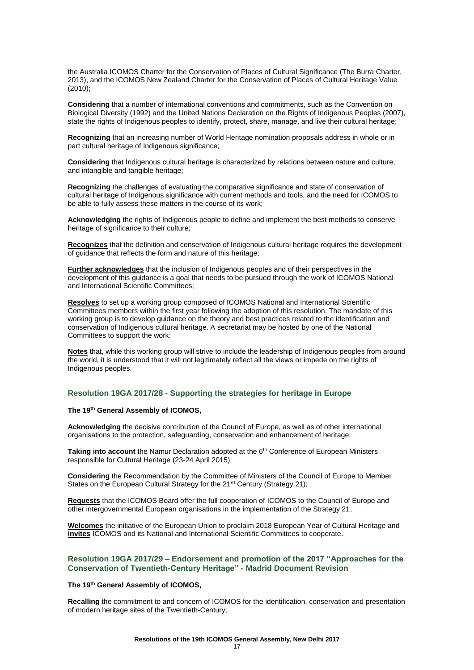the Australia ICOMOS Charter for the Conservation of Places of Cultural Significance (The Burra Charter, 2013), and the ICOMOS New Zealand Charter for the Conservation of Places of Cultural Heritage Value (2010);

**Considering** that a number of international conventions and commitments, such as the Convention on Biological Diversity (1992) and the United Nations Declaration on the Rights of Indigenous Peoples (2007), state the rights of Indigenous peoples to identify, protect, share, manage, and live their cultural heritage;

**Recognizing** that an increasing number of World Heritage nomination proposals address in whole or in part cultural heritage of Indigenous significance;

**Considering** that Indigenous cultural heritage is characterized by relations between nature and culture, and intangible and tangible heritage;

**Recognizing** the challenges of evaluating the comparative significance and state of conservation of cultural heritage of Indigenous significance with current methods and tools, and the need for ICOMOS to be able to fully assess these matters in the course of its work;

**Acknowledging** the rights of Indigenous people to define and implement the best methods to conserve heritage of significance to their culture;

**Recognizes** that the definition and conservation of Indigenous cultural heritage requires the development of guidance that reflects the form and nature of this heritage;

**Further acknowledges** that the inclusion of Indigenous peoples and of their perspectives in the development of this guidance is a goal that needs to be pursued through the work of ICOMOS National and International Scientific Committees;

**Resolves** to set up a working group composed of ICOMOS National and International Scientific Committees members within the first year following the adoption of this resolution. The mandate of this working group is to develop guidance on the theory and best practices related to the identification and conservation of Indigenous cultural heritage. A secretariat may be hosted by one of the National Committees to support the work;

**Notes** that, while this working group will strive to include the leadership of Indigenous peoples from around the world, it is understood that it will not legitimately reflect all the views or impede on the rights of Indigenous peoples.

## **Resolution 19GA 2017/28 - Supporting the strategies for heritage in Europe**

#### **The 19th General Assembly of ICOMOS,**

**Acknowledging** the decisive contribution of the Council of Europe, as well as of other international organisations to the protection, safeguarding, conservation and enhancement of heritage;

**Taking into account** the Namur Declaration adopted at the 6<sup>th</sup> Conference of European Ministers responsible for Cultural Heritage (23-24 April 2015);

**Considering** the Recommendation by the Committee of Ministers of the Council of Europe to Member States on the European Cultural Strategy for the 21**st** Century (Strategy 21);

**Requests** that the ICOMOS Board offer the full cooperation of ICOMOS to the Council of Europe and other intergovernmental European organisations in the implementation of the Strategy 21;

**Welcomes** the initiative of the European Union to proclaim 2018 European Year of Cultural Heritage and **invites** ICOMOS and its National and International Scientific Committees to cooperate.

## **Resolution 19GA 2017/29 – Endorsement and promotion of the 2017 "Approaches for the Conservation of Twentieth-Century Heritage" - Madrid Document Revision**

#### **The 19th General Assembly of ICOMOS,**

**Recalling** the commitment to and concern of ICOMOS for the identification, conservation and presentation of modern heritage sites of the Twentieth-Century;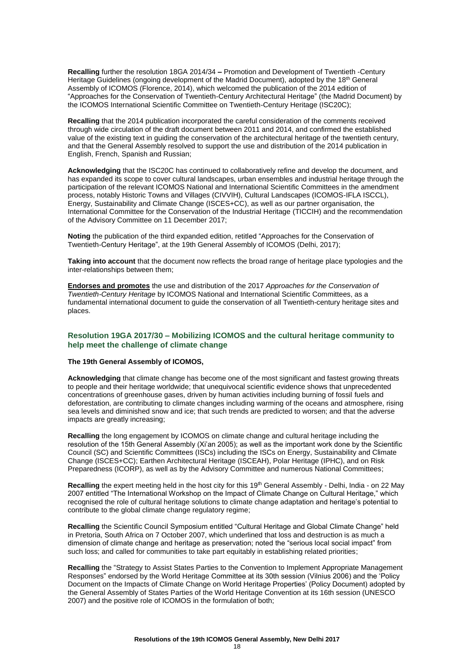**Recalling** further the resolution 18GA 2014/34 **–** Promotion and Development of Twentieth -Century Heritage Guidelines (ongoing development of the Madrid Document), adopted by the 18<sup>th</sup> General Assembly of ICOMOS (Florence, 2014), which welcomed the publication of the 2014 edition of "Approaches for the Conservation of Twentieth-Century Architectural Heritage" (the Madrid Document) by the ICOMOS International Scientific Committee on Twentieth-Century Heritage (ISC20C);

**Recalling** that the 2014 publication incorporated the careful consideration of the comments received through wide circulation of the draft document between 2011 and 2014, and confirmed the established value of the existing text in guiding the conservation of the architectural heritage of the twentieth century, and that the General Assembly resolved to support the use and distribution of the 2014 publication in English, French, Spanish and Russian;

**Acknowledging** that the ISC20C has continued to collaboratively refine and develop the document, and has expanded its scope to cover cultural landscapes, urban ensembles and industrial heritage through the participation of the relevant ICOMOS National and International Scientific Committees in the amendment process, notably Historic Towns and Villages (CIVVIH), Cultural Landscapes (ICOMOS-IFLA ISCCL), Energy, Sustainability and Climate Change (ISCES+CC), as well as our partner organisation, the International Committee for the Conservation of the Industrial Heritage (TICCIH) and the recommendation of the Advisory Committee on 11 December 2017;

**Noting** the publication of the third expanded edition, retitled "Approaches for the Conservation of Twentieth-Century Heritage", at the 19th General Assembly of ICOMOS (Delhi, 2017);

**Taking into account** that the document now reflects the broad range of heritage place typologies and the inter-relationships between them;

**Endorses and promotes** the use and distribution of the 2017 *Approaches for the Conservation of Twentieth-Century Heritage* by ICOMOS National and International Scientific Committees, as a fundamental international document to guide the conservation of all Twentieth-century heritage sites and places.

## **Resolution 19GA 2017/30 – Mobilizing ICOMOS and the cultural heritage community to help meet the challenge of climate change**

#### **The 19th General Assembly of ICOMOS,**

**Acknowledging** that climate change has become one of the most significant and fastest growing threats to people and their heritage worldwide; that unequivocal scientific evidence shows that unprecedented concentrations of greenhouse gases, driven by human activities including burning of fossil fuels and deforestation, are contributing to climate changes including warming of the oceans and atmosphere, rising sea levels and diminished snow and ice; that such trends are predicted to worsen; and that the adverse impacts are greatly increasing;

**Recalling** the long engagement by ICOMOS on climate change and cultural heritage including the resolution of the 15th General Assembly (Xi'an 2005); as well as the important work done by the Scientific Council (SC) and Scientific Committees (ISCs) including the ISCs on Energy, Sustainability and Climate Change (ISCES+CC); Earthen Architectural Heritage (ISCEAH), Polar Heritage (IPHC), and on Risk Preparedness (ICORP), as well as by the Advisory Committee and numerous National Committees;

**Recalling** the expert meeting held in the host city for this 19<sup>th</sup> General Assembly - Delhi, India - on 22 May 2007 entitled "The International Workshop on the Impact of Climate Change on Cultural Heritage," which recognised the role of cultural heritage solutions to climate change adaptation and heritage's potential to contribute to the global climate change regulatory regime;

**Recalling** the Scientific Council Symposium entitled "Cultural Heritage and Global Climate Change" held in Pretoria, South Africa on 7 October 2007, which underlined that loss and destruction is as much a dimension of climate change and heritage as preservation; noted the "serious local social impact" from such loss; and called for communities to take part equitably in establishing related priorities;

**Recalling** the "Strategy to Assist States Parties to the Convention to Implement Appropriate Management Responses" endorsed by the World Heritage Committee at its 30th session (Vilnius 2006) and the 'Policy Document on the Impacts of Climate Change on World Heritage Properties' (Policy Document) adopted by the General Assembly of States Parties of the World Heritage Convention at its 16th session (UNESCO 2007) and the positive role of ICOMOS in the formulation of both;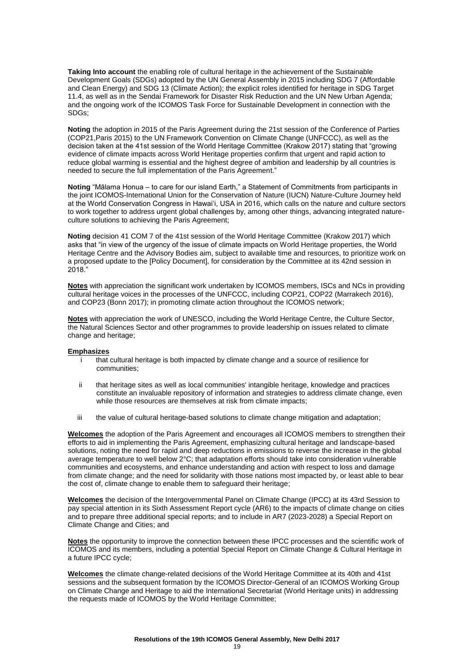**Taking Into account** the enabling role of cultural heritage in the achievement of the Sustainable Development Goals (SDGs) adopted by the UN General Assembly in 2015 including SDG 7 (Affordable and Clean Energy) and SDG 13 (Climate Action); the explicit roles identified for heritage in SDG Target 11.4, as well as in the Sendai Framework for Disaster Risk Reduction and the UN New Urban Agenda; and the ongoing work of the ICOMOS Task Force for Sustainable Development in connection with the SDGs;

**Noting** the adoption in 2015 of the Paris Agreement during the 21st session of the Conference of Parties (COP21,Paris 2015) to the UN Framework Convention on Climate Change (UNFCCC), as well as the decision taken at the 41st session of the World Heritage Committee (Krakow 2017) stating that "growing evidence of climate impacts across World Heritage properties confirm that urgent and rapid action to reduce global warming is essential and the highest degree of ambition and leadership by all countries is needed to secure the full implementation of the Paris Agreement."

**Noting** "Mālama Honua – to care for our island Earth," a Statement of Commitments from participants in the joint ICOMOS-International Union for the Conservation of Nature (IUCN) Nature-Culture Journey held at the World Conservation Congress in Hawai'i, USA in 2016, which calls on the nature and culture sectors to work together to address urgent global challenges by, among other things, advancing integrated natureculture solutions to achieving the Paris Agreement;

**Noting** decision 41 COM 7 of the 41st session of the World Heritage Committee (Krakow 2017) which asks that "in view of the urgency of the issue of climate impacts on World Heritage properties, the World Heritage Centre and the Advisory Bodies aim, subject to available time and resources, to prioritize work on a proposed update to the [Policy Document], for consideration by the Committee at its 42nd session in 2018."

**Notes** with appreciation the significant work undertaken by ICOMOS members, ISCs and NCs in providing cultural heritage voices in the processes of the UNFCCC, including COP21, COP22 (Marrakech 2016), and COP23 (Bonn 2017); in promoting climate action throughout the ICOMOS network;

**Notes** with appreciation the work of UNESCO, including the World Heritage Centre, the Culture Sector, the Natural Sciences Sector and other programmes to provide leadership on issues related to climate change and heritage;

## **Emphasizes**

- i that cultural heritage is both impacted by climate change and a source of resilience for communities;
- ii that heritage sites as well as local communities' intangible heritage, knowledge and practices constitute an invaluable repository of information and strategies to address climate change, even while those resources are themselves at risk from climate impacts;
- iii the value of cultural heritage-based solutions to climate change mitigation and adaptation;

**Welcomes** the adoption of the Paris Agreement and encourages all ICOMOS members to strengthen their efforts to aid in implementing the Paris Agreement, emphasizing cultural heritage and landscape-based solutions, noting the need for rapid and deep reductions in emissions to reverse the increase in the global average temperature to well below 2°C; that adaptation efforts should take into consideration vulnerable communities and ecosystems, and enhance understanding and action with respect to loss and damage from climate change; and the need for solidarity with those nations most impacted by, or least able to bear the cost of, climate change to enable them to safeguard their heritage;

**Welcomes** the decision of the Intergovernmental Panel on Climate Change (IPCC) at its 43rd Session to pay special attention in its Sixth Assessment Report cycle (AR6) to the impacts of climate change on cities and to prepare three additional special reports; and to include in AR7 (2023-2028) a Special Report on Climate Change and Cities; and

**Notes** the opportunity to improve the connection between these IPCC processes and the scientific work of ICOMOS and its members, including a potential Special Report on Climate Change & Cultural Heritage in a future IPCC cycle;

**Welcomes** the climate change-related decisions of the World Heritage Committee at its 40th and 41st sessions and the subsequent formation by the ICOMOS Director-General of an ICOMOS Working Group on Climate Change and Heritage to aid the International Secretariat (World Heritage units) in addressing the requests made of ICOMOS by the World Heritage Committee;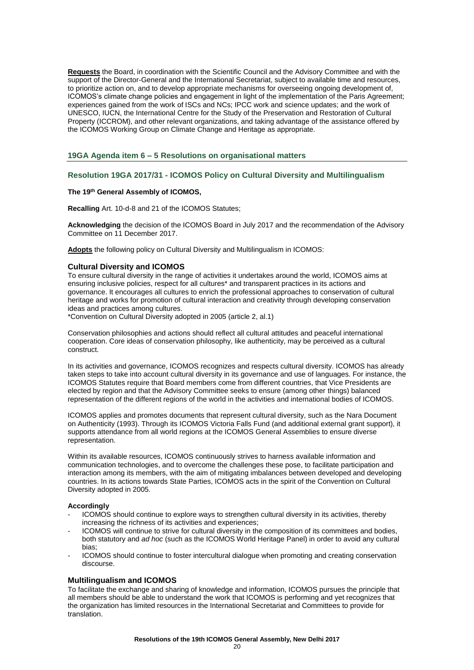**Requests** the Board, in coordination with the Scientific Council and the Advisory Committee and with the support of the Director-General and the International Secretariat, subject to available time and resources, to prioritize action on, and to develop appropriate mechanisms for overseeing ongoing development of, ICOMOS's climate change policies and engagement in light of the implementation of the Paris Agreement; experiences gained from the work of ISCs and NCs; IPCC work and science updates; and the work of UNESCO, IUCN, the International Centre for the Study of the Preservation and Restoration of Cultural Property (ICCROM), and other relevant organizations, and taking advantage of the assistance offered by the ICOMOS Working Group on Climate Change and Heritage as appropriate.

## **19GA Agenda item 6 – 5 Resolutions on organisational matters**

## **Resolution 19GA 2017/31 - ICOMOS Policy on Cultural Diversity and Multilingualism**

## **The 19th General Assembly of ICOMOS,**

**Recalling** Art. 10-d-8 and 21 of the ICOMOS Statutes;

**Acknowledging** the decision of the ICOMOS Board in July 2017 and the recommendation of the Advisory Committee on 11 December 2017.

**Adopts** the following policy on Cultural Diversity and Multilingualism in ICOMOS:

## **Cultural Diversity and ICOMOS**

To ensure cultural diversity in the range of activities it undertakes around the world, ICOMOS aims at ensuring inclusive policies, respect for all cultures\* and transparent practices in its actions and governance. It encourages all cultures to enrich the professional approaches to conservation of cultural heritage and works for promotion of cultural interaction and creativity through developing conservation ideas and practices among cultures.

\*Convention on Cultural Diversity adopted in 2005 (article 2, al.1)

Conservation philosophies and actions should reflect all cultural attitudes and peaceful international cooperation. Core ideas of conservation philosophy, like authenticity, may be perceived as a cultural construct.

In its activities and governance, ICOMOS recognizes and respects cultural diversity. ICOMOS has already taken steps to take into account cultural diversity in its governance and use of languages. For instance, the ICOMOS Statutes require that Board members come from different countries, that Vice Presidents are elected by region and that the Advisory Committee seeks to ensure (among other things) balanced representation of the different regions of the world in the activities and international bodies of ICOMOS.

ICOMOS applies and promotes documents that represent cultural diversity, such as the Nara Document on Authenticity (1993). Through its ICOMOS Victoria Falls Fund (and additional external grant support), it supports attendance from all world regions at the ICOMOS General Assemblies to ensure diverse representation.

Within its available resources, ICOMOS continuously strives to harness available information and communication technologies, and to overcome the challenges these pose, to facilitate participation and interaction among its members, with the aim of mitigating imbalances between developed and developing countries. In its actions towards State Parties, ICOMOS acts in the spirit of the Convention on Cultural Diversity adopted in 2005.

#### **Accordingly**

- ICOMOS should continue to explore ways to strengthen cultural diversity in its activities, thereby increasing the richness of its activities and experiences;
- ICOMOS will continue to strive for cultural diversity in the composition of its committees and bodies, both statutory and *ad hoc* (such as the ICOMOS World Heritage Panel) in order to avoid any cultural bias;
- ICOMOS should continue to foster intercultural dialogue when promoting and creating conservation discourse.

## **Multilingualism and ICOMOS**

To facilitate the exchange and sharing of knowledge and information, ICOMOS pursues the principle that all members should be able to understand the work that ICOMOS is performing and yet recognizes that the organization has limited resources in the International Secretariat and Committees to provide for translation.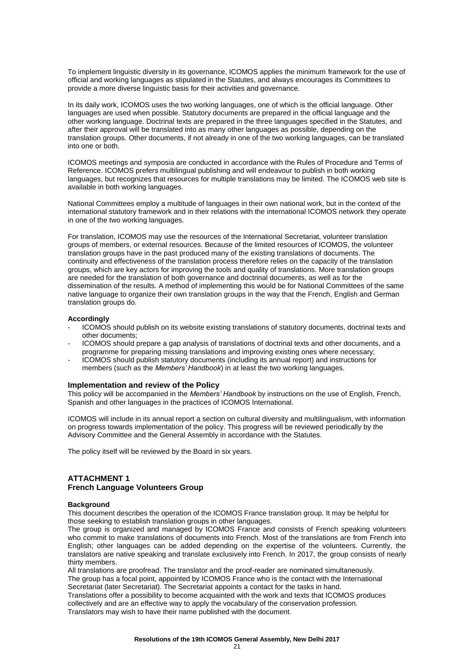To implement linguistic diversity in its governance, ICOMOS applies the minimum framework for the use of official and working languages as stipulated in the Statutes, and always encourages its Committees to provide a more diverse linguistic basis for their activities and governance.

In its daily work, ICOMOS uses the two working languages, one of which is the official language. Other languages are used when possible. Statutory documents are prepared in the official language and the other working language. Doctrinal texts are prepared in the three languages specified in the Statutes, and after their approval will be translated into as many other languages as possible, depending on the translation groups. Other documents, if not already in one of the two working languages, can be translated into one or both.

ICOMOS meetings and symposia are conducted in accordance with the Rules of Procedure and Terms of Reference. ICOMOS prefers multilingual publishing and will endeavour to publish in both working languages, but recognizes that resources for multiple translations may be limited. The ICOMOS web site is available in both working languages.

National Committees employ a multitude of languages in their own national work, but in the context of the international statutory framework and in their relations with the international ICOMOS network they operate in one of the two working languages.

For translation, ICOMOS may use the resources of the International Secretariat, volunteer translation groups of members, or external resources. Because of the limited resources of ICOMOS, the volunteer translation groups have in the past produced many of the existing translations of documents. The continuity and effectiveness of the translation process therefore relies on the capacity of the translation groups, which are key actors for improving the tools and quality of translations. More translation groups are needed for the translation of both governance and doctrinal documents, as well as for the dissemination of the results. A method of implementing this would be for National Committees of the same native language to organize their own translation groups in the way that the French, English and German translation groups do.

## **Accordingly**

- ICOMOS should publish on its website existing translations of statutory documents, doctrinal texts and other documents;
- ICOMOS should prepare a gap analysis of translations of doctrinal texts and other documents, and a programme for preparing missing translations and improving existing ones where necessary;
- ICOMOS should publish statutory documents (including its annual report) and instructions for members (such as the *Members' Handbook*) in at least the two working languages.

## **Implementation and review of the Policy**

This policy will be accompanied in the *Members' Handbook* by instructions on the use of English, French, Spanish and other languages in the practices of ICOMOS International.

ICOMOS will include in its annual report a section on cultural diversity and multilingualism, with information on progress towards implementation of the policy. This progress will be reviewed periodically by the Advisory Committee and the General Assembly in accordance with the Statutes.

The policy itself will be reviewed by the Board in six years.

## **ATTACHMENT 1 French Language Volunteers Group**

## **Background**

This document describes the operation of the ICOMOS France translation group. It may be helpful for those seeking to establish translation groups in other languages.

The group is organized and managed by ICOMOS France and consists of French speaking volunteers who commit to make translations of documents into French. Most of the translations are from French into English; other languages can be added depending on the expertise of the volunteers. Currently, the translators are native speaking and translate exclusively into French. In 2017, the group consists of nearly thirty members.

All translations are proofread. The translator and the proof-reader are nominated simultaneously. The group has a focal point, appointed by ICOMOS France who is the contact with the International Secretariat (later Secretariat). The Secretariat appoints a contact for the tasks in hand.

Translations offer a possibility to become acquainted with the work and texts that ICOMOS produces collectively and are an effective way to apply the vocabulary of the conservation profession.

Translators may wish to have their name published with the document.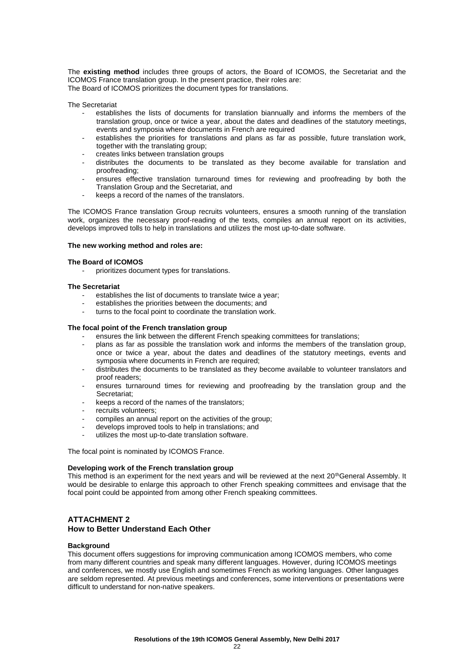The **existing method** includes three groups of actors, the Board of ICOMOS, the Secretariat and the ICOMOS France translation group. In the present practice, their roles are: The Board of ICOMOS prioritizes the document types for translations.

The Secretariat

- establishes the lists of documents for translation biannually and informs the members of the translation group, once or twice a year, about the dates and deadlines of the statutory meetings, events and symposia where documents in French are required
- establishes the priorities for translations and plans as far as possible, future translation work, together with the translating group;
- creates links between translation groups
- distributes the documents to be translated as they become available for translation and proofreading;
- ensures effective translation turnaround times for reviewing and proofreading by both the Translation Group and the Secretariat, and
- keeps a record of the names of the translators.

The ICOMOS France translation Group recruits volunteers, ensures a smooth running of the translation work, organizes the necessary proof-reading of the texts, compiles an annual report on its activities, develops improved tolls to help in translations and utilizes the most up-to-date software.

## **The new working method and roles are:**

## **The Board of ICOMOS**

- prioritizes document types for translations.

## **The Secretariat**

- establishes the list of documents to translate twice a year:
- establishes the priorities between the documents; and
- turns to the focal point to coordinate the translation work.

## **The focal point of the French translation group**

- ensures the link between the different French speaking committees for translations;
- plans as far as possible the translation work and informs the members of the translation group, once or twice a year, about the dates and deadlines of the statutory meetings, events and symposia where documents in French are required;
- distributes the documents to be translated as they become available to volunteer translators and proof readers;
- ensures turnaround times for reviewing and proofreading by the translation group and the Secretariat;
- keeps a record of the names of the translators;
- recruits volunteers;
- compiles an annual report on the activities of the group;
- develops improved tools to help in translations; and
- utilizes the most up-to-date translation software.

The focal point is nominated by ICOMOS France.

## **Developing work of the French translation group**

This method is an experiment for the next years and will be reviewed at the next 20<sup>th</sup>General Assembly. It would be desirable to enlarge this approach to other French speaking committees and envisage that the focal point could be appointed from among other French speaking committees.

## **ATTACHMENT 2 How to Better Understand Each Other**

## **Background**

This document offers suggestions for improving communication among ICOMOS members, who come from many different countries and speak many different languages. However, during ICOMOS meetings and conferences, we mostly use English and sometimes French as working languages. Other languages are seldom represented. At previous meetings and conferences, some interventions or presentations were difficult to understand for non-native speakers.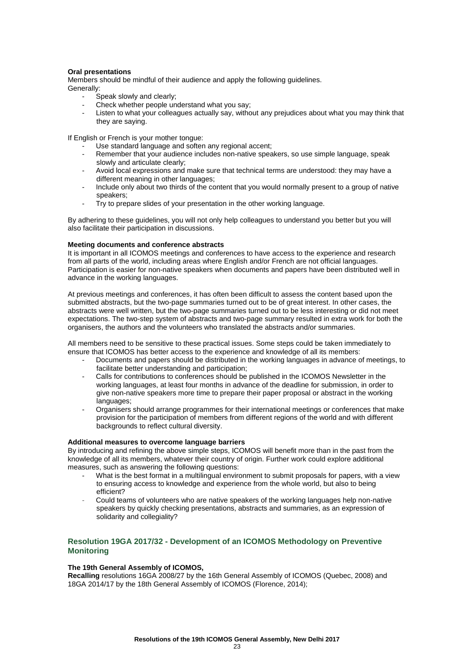## **Oral presentations**

Members should be mindful of their audience and apply the following guidelines. Generally:

- Speak slowly and clearly;
- Check whether people understand what you say;
- Listen to what your colleagues actually say, without any prejudices about what you may think that they are saying.

If English or French is your mother tongue:

- Use standard language and soften any regional accent;
- Remember that your audience includes non-native speakers, so use simple language, speak slowly and articulate clearly;
- Avoid local expressions and make sure that technical terms are understood: they may have a different meaning in other languages;
- Include only about two thirds of the content that you would normally present to a group of native speakers;
- Try to prepare slides of your presentation in the other working language.

By adhering to these guidelines, you will not only help colleagues to understand you better but you will also facilitate their participation in discussions.

## **Meeting documents and conference abstracts**

It is important in all ICOMOS meetings and conferences to have access to the experience and research from all parts of the world, including areas where English and/or French are not official languages. Participation is easier for non-native speakers when documents and papers have been distributed well in advance in the working languages.

At previous meetings and conferences, it has often been difficult to assess the content based upon the submitted abstracts, but the two-page summaries turned out to be of great interest. In other cases, the abstracts were well written, but the two-page summaries turned out to be less interesting or did not meet expectations. The two-step system of abstracts and two-page summary resulted in extra work for both the organisers, the authors and the volunteers who translated the abstracts and/or summaries.

All members need to be sensitive to these practical issues. Some steps could be taken immediately to ensure that ICOMOS has better access to the experience and knowledge of all its members:

- Documents and papers should be distributed in the working languages in advance of meetings, to facilitate better understanding and participation;
- Calls for contributions to conferences should be published in the ICOMOS Newsletter in the working languages, at least four months in advance of the deadline for submission, in order to give non-native speakers more time to prepare their paper proposal or abstract in the working languages;
- Organisers should arrange programmes for their international meetings or conferences that make provision for the participation of members from different regions of the world and with different backgrounds to reflect cultural diversity.

## **Additional measures to overcome language barriers**

By introducing and refining the above simple steps, ICOMOS will benefit more than in the past from the knowledge of all its members, whatever their country of origin. Further work could explore additional measures, such as answering the following questions:

- What is the best format in a multilingual environment to submit proposals for papers, with a view to ensuring access to knowledge and experience from the whole world, but also to being efficient?
- Could teams of volunteers who are native speakers of the working languages help non-native speakers by quickly checking presentations, abstracts and summaries, as an expression of solidarity and collegiality?

## **Resolution 19GA 2017/32 - Development of an ICOMOS Methodology on Preventive Monitoring**

## **The 19th General Assembly of ICOMOS,**

**Recalling** resolutions 16GA 2008/27 by the 16th General Assembly of ICOMOS (Quebec, 2008) and 18GA 2014/17 by the 18th General Assembly of ICOMOS (Florence, 2014);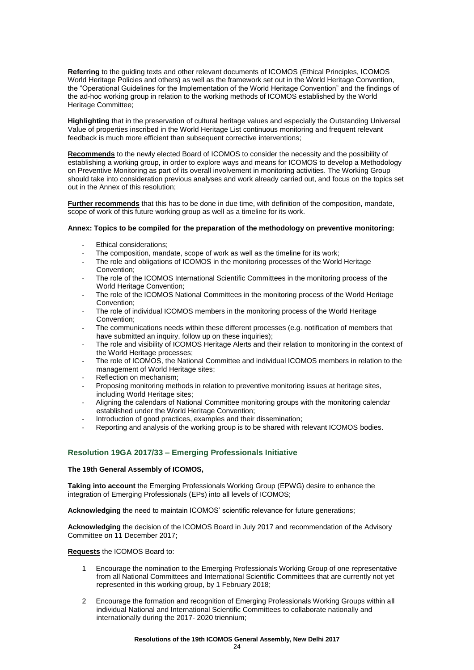**Referring** to the guiding texts and other relevant documents of ICOMOS (Ethical Principles, ICOMOS World Heritage Policies and others) as well as the framework set out in the World Heritage Convention, the "Operational Guidelines for the Implementation of the World Heritage Convention" and the findings of the ad-hoc working group in relation to the working methods of ICOMOS established by the World Heritage Committee;

**Highlighting** that in the preservation of cultural heritage values and especially the Outstanding Universal Value of properties inscribed in the World Heritage List continuous monitoring and frequent relevant feedback is much more efficient than subsequent corrective interventions;

**Recommends** to the newly elected Board of ICOMOS to consider the necessity and the possibility of establishing a working group, in order to explore ways and means for ICOMOS to develop a Methodology on Preventive Monitoring as part of its overall involvement in monitoring activities. The Working Group should take into consideration previous analyses and work already carried out, and focus on the topics set out in the Annex of this resolution;

**Further recommends** that this has to be done in due time, with definition of the composition, mandate, scope of work of this future working group as well as a timeline for its work.

## **Annex: Topics to be compiled for the preparation of the methodology on preventive monitoring:**

- Ethical considerations;
- The composition, mandate, scope of work as well as the timeline for its work;
- The role and obligations of ICOMOS in the monitoring processes of the World Heritage Convention;
- The role of the ICOMOS International Scientific Committees in the monitoring process of the World Heritage Convention;
- The role of the ICOMOS National Committees in the monitoring process of the World Heritage Convention;
- The role of individual ICOMOS members in the monitoring process of the World Heritage Convention;
- The communications needs within these different processes (e.g. notification of members that have submitted an inquiry, follow up on these inquiries);
- The role and visibility of ICOMOS Heritage Alerts and their relation to monitoring in the context of the World Heritage processes;
- The role of ICOMOS, the National Committee and individual ICOMOS members in relation to the management of World Heritage sites;
- Reflection on mechanism;
- Proposing monitoring methods in relation to preventive monitoring issues at heritage sites, including World Heritage sites;
- Aligning the calendars of National Committee monitoring groups with the monitoring calendar established under the World Heritage Convention;
- Introduction of good practices, examples and their dissemination;
- Reporting and analysis of the working group is to be shared with relevant ICOMOS bodies.

## **Resolution 19GA 2017/33 – Emerging Professionals Initiative**

## **The 19th General Assembly of ICOMOS,**

**Taking into account** the Emerging Professionals Working Group (EPWG) desire to enhance the integration of Emerging Professionals (EPs) into all levels of ICOMOS;

**Acknowledging** the need to maintain ICOMOS' scientific relevance for future generations;

**Acknowledging** the decision of the ICOMOS Board in July 2017 and recommendation of the Advisory Committee on 11 December 2017;

**Requests** the ICOMOS Board to:

- 1 Encourage the nomination to the Emerging Professionals Working Group of one representative from all National Committees and International Scientific Committees that are currently not yet represented in this working group, by 1 February 2018;
- 2 Encourage the formation and recognition of Emerging Professionals Working Groups within all individual National and International Scientific Committees to collaborate nationally and internationally during the 2017- 2020 triennium;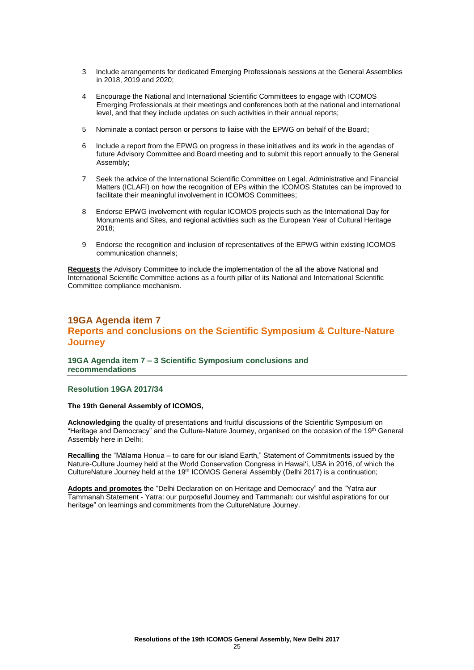- 3 Include arrangements for dedicated Emerging Professionals sessions at the General Assemblies in 2018, 2019 and 2020;
- 4 Encourage the National and International Scientific Committees to engage with ICOMOS Emerging Professionals at their meetings and conferences both at the national and international level, and that they include updates on such activities in their annual reports;
- 5 Nominate a contact person or persons to liaise with the EPWG on behalf of the Board;
- 6 Include a report from the EPWG on progress in these initiatives and its work in the agendas of future Advisory Committee and Board meeting and to submit this report annually to the General Assembly;
- 7 Seek the advice of the International Scientific Committee on Legal, Administrative and Financial Matters (ICLAFI) on how the recognition of EPs within the ICOMOS Statutes can be improved to facilitate their meaningful involvement in ICOMOS Committees;
- 8 Endorse EPWG involvement with regular ICOMOS projects such as the International Day for Monuments and Sites, and regional activities such as the European Year of Cultural Heritage 2018;
- 9 Endorse the recognition and inclusion of representatives of the EPWG within existing ICOMOS communication channels;

**Requests** the Advisory Committee to include the implementation of the all the above National and International Scientific Committee actions as a fourth pillar of its National and International Scientific Committee compliance mechanism.

## **19GA Agenda item 7 Reports and conclusions on the Scientific Symposium & Culture-Nature Journey**

**19GA Agenda item 7 – 3 Scientific Symposium conclusions and recommendations**

## **Resolution 19GA 2017/34**

## **The 19th General Assembly of ICOMOS,**

**Acknowledging** the quality of presentations and fruitful discussions of the Scientific Symposium on "Heritage and Democracy" and the Culture-Nature Journey, organised on the occasion of the 19th General Assembly here in Delhi;

**Recalling** the "Mālama Honua – to care for our island Earth," Statement of Commitments issued by the Nature-Culture Journey held at the World Conservation Congress in Hawai'i, USA in 2016, of which the CultureNature Journey held at the 19<sup>th</sup> ICOMOS General Assembly (Delhi 2017) is a continuation;

**Adopts and promotes** the "Delhi Declaration on on Heritage and Democracy" and the "Yatra aur Tammanah Statement - Yatra: our purposeful Journey and Tammanah: our wishful aspirations for our heritage" on learnings and commitments from the CultureNature Journey.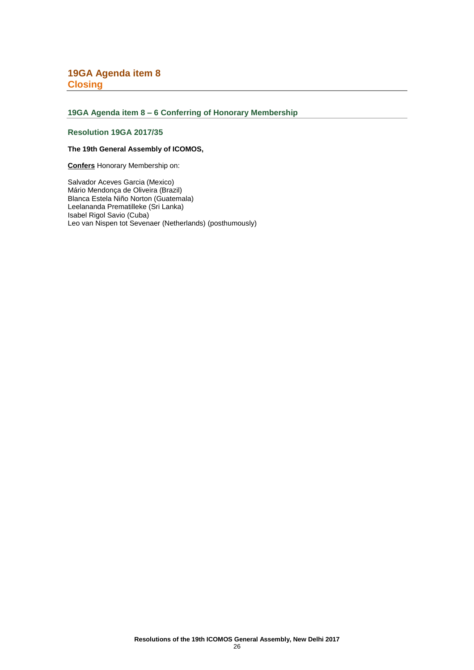## **19GA Agenda item 8 – 6 Conferring of Honorary Membership**

## **Resolution 19GA 2017/35**

## **The 19th General Assembly of ICOMOS,**

**Confers** Honorary Membership on:

Salvador Aceves Garcia (Mexico) Mário Mendonça de Oliveira (Brazil) Blanca Estela Niño Norton (Guatemala) Leelananda Prematilleke (Sri Lanka) Isabel Rigol Savio (Cuba) Leo van Nispen tot Sevenaer (Netherlands) (posthumously)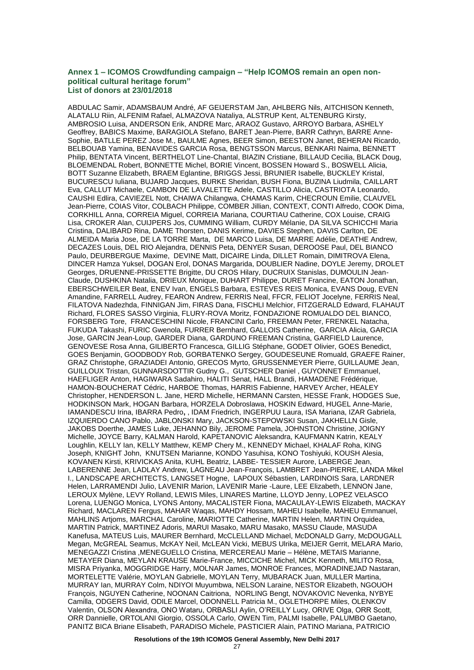## **Annex 1 – ICOMOS Crowdfunding campaign – "Help ICOMOS remain an open nonpolitical cultural heritage forum" List of donors at 23/01/2018**

ABDULAC Samir, ADAMSBAUM André, AF GEIJERSTAM Jan, AHLBERG Nils, AITCHISON Kenneth, ALATALU Riin, ALFENIM Rafael, ALMAZOVA Nataliya, ALSTRUP Kent, ALTENBURG Kirsty, AMBROSIO Luisa, ANDERSON Erik, ANDRE Marc, ARAOZ Gustavo, ARROYO Barbara, ASHELY Geoffrey, BABICS Maxime, BARAGIOLA Stefano, BARET Jean-Pierre, BARR Cathryn, BARRE Anne-Sophie, BATLLE PEREZ Jose M., BAULME Agnes, BEER Simon, BEESTON Janet, BEHERAN Ricardo, BELBOUAB Yamina, BENAVIDES GARCIA Rosa, BENGTSSON Marcus, BENKARI Naima, BENNETT Philip, BENTATA Vincent, BERTHELOT Line-Chantal, BIAZIN Cristiane, BILLAUD Cecilia, BLACK Doug, BLOEMENDAL Robert, BONNETTE Michel, BORIE Vincent, BOSSEN Howard S., BOSWELL Alicia, BOTT Suzanne Elizabeth, BRAEM Eglantine, BRIGGS Jessi, BRUNIER Isabelle, BUCKLEY Kristal, BUCURESCU Iuliana, BUJARD Jacques, BURKE Sheridan, BUSH Fiona, BUZINA Liudmila, CAILLART Eva, CALLUT Michaele, CAMBON DE LAVALETTE Adele, CASTILLO Alicia, CASTRIOTA Leonardo, CAUSHI Edlira, CAVIEZEL Nott, CHAIWA Chilangwa, CHAMAS Karim, CHECROUN Emilie, CLAUVEL Jean-Pierre, COIAS Vitor, COLBACH Philippe, COMBER Jillian, CONTEXT, CONTI Alfredo, COOK Dima, CORKHILL Anna, CORREIA Miguel, CORREIA Mariana, COURTIAU Catherine, COX Louise, CRAIG Lisa, CROKER Alan, CUIJPERS Jos, CUMMING William, CURDY Mélanie, DA SILVA SCHICCHI Maria Cristina, DALIBARD Rina, DAME Thorsten, DANIS Kerime, DAVIES Stephen, DAVIS Carlton, DE ALMEIDA Maria Jose, DE LA TORRE Marta, DE MARCO Luisa, DE MARRE Adélie, DEATHE Andrew, DECAZES Louis, DEL RIO Alejandra, DENNIS Peta, DENYER Susan, DEROOSE Paul, DEL BIANCO Paulo, DEURBERGUE Maxime, DEVINE Matt, DICAIRE Linda, DILLET Romain, DIMITROVA Elena, DINCER Hamza Yuksel, DOGAN Erol, DONAS Margarida, DOUBLIER Nadine, DOYLE Jeremy, DROLET Georges, DRUENNE-PRISSETTE Brigitte, DU CROS Hilary, DUCRUIX Stanislas, DUMOULIN Jean-Claude, DUSHKINA Natalia, DRIEUX Monique, DUHART Philippe, DURET Francine, EATON Jonathan, EBERSCHWEILER Beat, ENEV Ivan, ENGELS Barbara, ESTEVES REIS Monica, EVANS Doug, EVEN Amandine, FARRELL Audrey, FEARON Andrew, FERRIS Neal, FFCR, FELIOT Jocelyne, FERRIS Neal, FILATOVA Nadezhda, FINNIGAN Jim, FIRAS Dana, FISCHLI Melchior, FITZGERALD Edward, FLAHAUT Richard, FLORES SASSO Virginia, FLURY-ROVA Moritz, FONDAZIONE ROMUALDO DEL BIANCO, FORSBERG Tore, FRANCESCHINI Nicole, FRANCINI Carlo, FREEMAN Peter, FRENKEL Natacha, FUKUDA Takashi, FURIC Gwenola, FURRER Bernhard, GALLOIS Catherine, GARCIA Alicia, GARCIA Jose, GARCIN Jean-Loup, GARDER Diana, GARDUNO FREEMAN Cristina, GARFIELD Laurence, GENOVESE Rosa Anna, GILIBERTO Francesca, GILLIG Stéphane, GODET Olivier, GOES Benedict, GOES Benjamin, GOODBODY Rob, GORBATENKO Sergey, GOUDESEUNE Romuald, GRAEFE Rainer, GRAZ Christophe, GRAZIADEI Antonio, GRECOS Myrto, GRUSSENMEYER Pierre, GUILLAUME Jean, GUILLOUX Tristan, GUNNARSDOTTIR Gudny G., GUTSCHER Daniel , GUYONNET Emmanuel, HAEFLIGER Anton, HAGIWARA Sadahiro, HALITI Senat, HALL Brandi, HAMADENE Frédérique, HAMON-BOUCHERAT Cédric, HARBOE Thomas, HARRIS Fabienne, HARVEY Archer, HEALEY Christopher, HENDERSON L. Jane, HERD Michelle, HERMANN Carsten, HESSE Frank, HODGES Sue, HODKINSON Mark, HOGAN Barbara, HORZELA Dobroslawa, HOSKIN Edward, HUGEL Anne-Marie, IAMANDESCU Irina, IBARRA Pedro**,** , IDAM Friedrich, INGERPUU Laura, ISA Mariana, IZAR Gabriela, IZQUIERDO CANO Pablo, JABLONSKI Mary, JACKSON-STEPOWSKI Susan, JAKHELLN Gisle, JAKOBS Doerthe, JAMES Luke, JEHANNO Bily, JEROME Pamela, JOHNSTON Christine, JOIGNY Michelle, JOYCE Barry, KALMAN Harold, KAPETANOVIC Aleksandra, KAUFMANN Katrin, KEALY Loughlin, KELLY Ian, KELLY Matthew, KEMP Chery M., KENNEDY Michael, KHALAF Roha, KING Joseph, KNIGHT John, KNUTSEN Marianne, KONDO Yasuhisa, KONO Toshiyuki, KOUSH Alesia, KOVANEN Kirsti, KRIVICKAS Anita, KUHL Beatriz, LABBE- TESSIER Aurore, LABERGE Jean, LABERENNE Jean, LADLAY Andrew, LAGNEAU Jean-François, LAMBRET Jean-PIERRE, LANDA Mikel I., LANDSCAPE ARCHITECTS, LANGSET Hogne, LAPOUX Sébastien, LARDINOIS Sara, LARDNER Helen, LARRAMENDI Julio, LAVENIR Marion, LAVENIR Marie -Laure, LEE Elizabeth, LENNON Jane, LEROUX Mylène, LEVY Rolland, LEWIS Miles, LINARES Martine, LLOYD Jenny, LOPEZ VELASCO Lorena, LUENGO Monica, LYONS Antony, MACALISTER Fiona, MACAULAY-LEWIS Elizabeth, MACKAY Richard, MACLAREN Fergus, MAHAR Waqas, MAHDY Hossam, MAHEU Isabelle, MAHEU Emmanuel, MAHLINS Artjoms, MARCHAL Caroline, MARIOTTE Catherine, MARTIN Helen, MARTIN Orquidea, MARTIN Patrick, MARTINEZ Adoris, MARUI Masako, MARU Masako, MASSU Claude, MASUDA Kanefusa, MATEUS Luis, MAURER Bernhard, McCLELLAND Michael, McDONALD Garry, McDOUGALL Megan, McGREAL Seamus, McKAY Neil, McLEAN Vicki, MEBUS Ulrika, MEIJER Gerrit, MELARA Mario, MENEGAZZI Cristina ,MENEGUELLO Cristina, MERCEREAU Marie – Hélène, METAIS Marianne, METAYER Diana, MEYLAN KRAUSE Marie-France, MICCICHE Michel, MICK Kenneth, MILITO Rosa, MISRA Priyanka, MOGGRIDGE Harry, MOLNAR James, MONROE Frances, MORADINEJAD Nastaran, MORTELETTE Valérie, MOYLAN Gabrielle, MOYLAN Terry, MUBARACK Juan, MULLER Martina, MURRAY Ian, MURRAY Colm, NDIYOI Muyumbwa, NELSON Laraine, NESTOR Elizabeth, NGOUOH François, NGUYEN Catherine, NOONAN Caitriona, NORLING Bengt, NOVAKOVIC Nevenka, NYBYE Camilla, ODGERS David, ODILE Marcel, ODONNELL Patricia M., OGLETHORPE Miles, OLENKOV Valentin, OLSON Alexandra, ONO Wataru, ORBASLI Aylin, O'REILLY Lucy, ORIVE Olga, ORR Scott, ORR Dannielle, ORTOLANI Giorgio, OSSOLA Carlo, OWEN Tim, PALMI Isabelle, PALUMBO Gaetano, PANITZ BICA Briane Elisabeth, PARADISO Michele, PASTICIER Alain, PATINO Mariana, PATRICIO